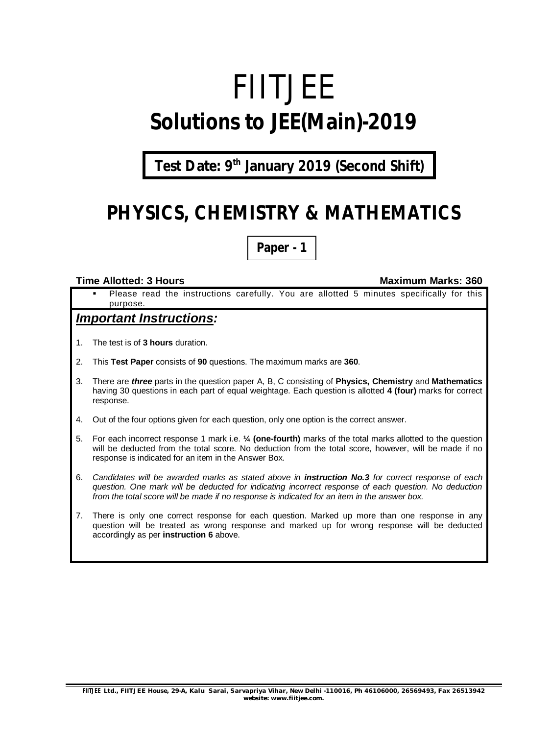# FIITJEE **Solutions to JEE(Main)-2019**

**Test Date: 9 th January 2019 (Second Shift)**

# **PHYSICS, CHEMISTRY & MATHEMATICS**

**Paper - 1**

#### **Time Allotted: 3 Hours Maximum Marks: 360**

 Please read the instructions carefully. You are allotted 5 minutes specifically for this purpose.

#### *Important Instructions:*

- 1. The test is of **3 hours** duration.
- 2. This **Test Paper** consists of **90** questions. The maximum marks are **360**.
- 3. There are *three* parts in the question paper A, B, C consisting of **Physics, Chemistry** and **Mathematics** having 30 questions in each part of equal weightage. Each question is allotted **4 (four)** marks for correct response.
- 4. Out of the four options given for each question, only one option is the correct answer.
- 5. For each incorrect response 1 mark i.e. **¼ (one-fourth)** marks of the total marks allotted to the question will be deducted from the total score. No deduction from the total score, however, will be made if no response is indicated for an item in the Answer Box.
- 6. *Candidates will be awarded marks as stated above in instruction No.3 for correct response of each question. One mark will be deducted for indicating incorrect response of each question. No deduction from the total score will be made if no response is indicated for an item in the answer box.*
- 7. There is only one correct response for each question. Marked up more than one response in any question will be treated as wrong response and marked up for wrong response will be deducted accordingly as per **instruction 6** above.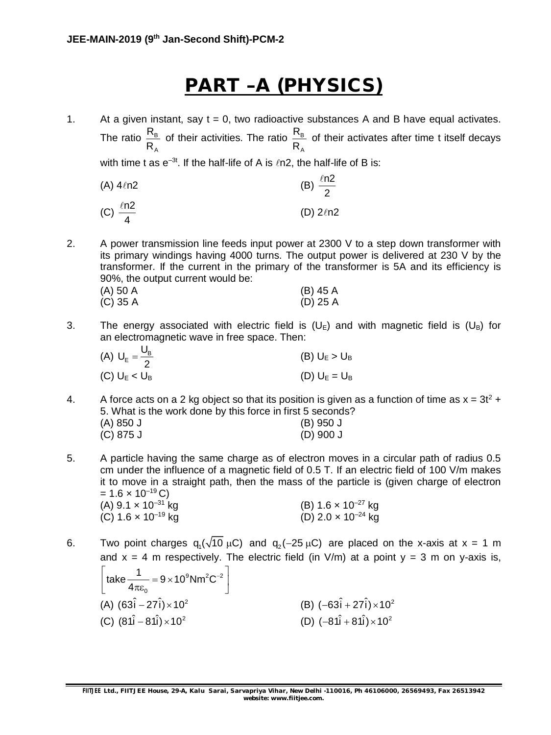# **PART –A (PHYSICS)**

1. At a given instant, say  $t = 0$ , two radioactive substances A and B have equal activates. The ratio  $\frac{P}{P}$ A R R of their activities. The ratio  $\frac{R}{R}$ A R R of their activates after time t itself decays with time t as  $e^{-3t}$ . If the half-life of A is  $ln 2$ , the half-life of B is:

(A) 
$$
4\ln 2
$$
  
\n(B)  $\frac{\ln 2}{2}$   
\n(C)  $\frac{\ln 2}{4}$   
\n(D)  $2\ln 2$ 

2. A power transmission line feeds input power at 2300 V to a step down transformer with its primary windings having 4000 turns. The output power is delivered at 230 V by the transformer. If the current in the primary of the transformer is 5A and its efficiency is 90%, the output current would be:

| (A) 50 A | (B) 45 A   |
|----------|------------|
| (C) 35 A | $(D)$ 25 A |

3. The energy associated with electric field is  $(U_{\rm E})$  and with magnetic field is  $(U_{\rm B})$  for an electromagnetic wave in free space. Then:

| (A) $U_E = \frac{U_B}{2}$ | (B) $U_E > U_B$ |
|---------------------------|-----------------|
| (C) $U_E < U_B$           | (D) $U_E = U_B$ |

- 4. A force acts on a 2 kg object so that its position is given as a function of time as  $x = 3t^2 +$ 5. What is the work done by this force in first 5 seconds? (A) 850 J (B) 950 J (C) 875 J (D) 900 J
- 5. A particle having the same charge as of electron moves in a circular path of radius 0.5 cm under the influence of a magnetic field of 0.5 T. If an electric field of 100 V/m makes it to move in a straight path, then the mass of the particle is (given charge of electron =  $1.6 \times 10^{-19}$  C)<br>(A)  $9.1 \times 10^{-31}$  kg (A)  $9.1 \times 10^{-31}$  kg (B)  $1.6 \times 10^{-27}$  kg
- 6. Two point charges  $q_1(\sqrt{10} \mu C)$  and  $q_2(-25 \mu C)$  are placed on the x-axis at x = 1 m and  $x = 4$  m respectively. The electric field (in  $V/m$ ) at a point  $y = 3$  m on y-axis is,

| $\left[\text{take } \frac{1}{4\pi\epsilon_0} = 9 \times 10^9 \text{Nm}^2\text{C}^{-2}\right]$ |                                            |
|-----------------------------------------------------------------------------------------------|--------------------------------------------|
| (A) $(63\hat{i} - 27\hat{i}) \times 10^2$                                                     | (B) $(-63\hat{i} + 27\hat{i}) \times 10^2$ |
| (C) $(81\hat{i} - 81\hat{i}) \times 10^2$                                                     | (D) $(-81\hat{i} + 81\hat{i}) \times 10^2$ |

(C)  $1.6 \times 10^{-19}$  kg (D)  $2.0 \times 10^{-24}$  kg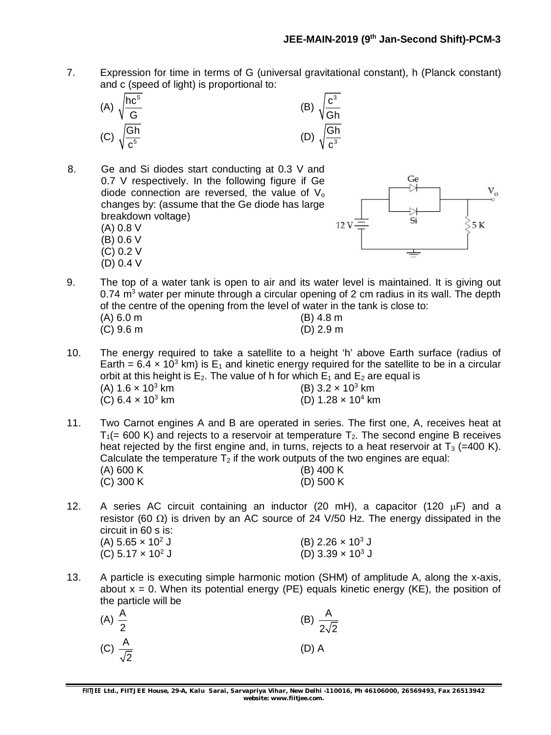7. Expression for time in terms of G (universal gravitational constant), h (Planck constant) and c (speed of light) is proportional to:



8. Ge and Si diodes start conducting at 0.3 V and 0.7 V respectively. In the following figure if Ge diode connection are reversed, the value of  $V<sub>o</sub>$ changes by: (assume that the Ge diode has large breakdown voltage) (A) 0.8 V (B) 0.6 V

> (C) 0.2 V (D) 0.4 V



- 9. The top of a water tank is open to air and its water level is maintained. It is giving out  $0.74$  m<sup>3</sup> water per minute through a circular opening of 2 cm radius in its wall. The depth of the centre of the opening from the level of water in the tank is close to: (A) 6.0 m (B) 4.8 m (C) 9.6 m (D) 2.9 m
- 10. The energy required to take a satellite to a height 'h' above Earth surface (radius of Earth =  $6.4 \times 10^3$  km) is E<sub>1</sub> and kinetic energy required for the satellite to be in a circular orbit at this height is  $E_2$ . The value of h for which  $E_1$  and  $E_2$  are equal is (A)  $1.6 \times 10^3$  km <br>
(C)  $6.4 \times 10^3$  km <br>
(D)  $1.28 \times 10^4$  kn (D) 1.28  $\times$  10<sup>4</sup> km
- 11. Two Carnot engines A and B are operated in series. The first one, A, receives heat at  $T_1$ (= 600 K) and rejects to a reservoir at temperature  $T_2$ . The second engine B receives heat rejected by the first engine and, in turns, rejects to a heat reservoir at  $T_3$  (=400 K). Calculate the temperature  $T_2$  if the work outputs of the two engines are equal: (A) 600 K (B) 400 K (C) 300 K (D) 500 K
- 12. A series AC circuit containing an inductor (20 mH), a capacitor (120  $\mu$ F) and a resistor (60  $\Omega$ ) is driven by an AC source of 24 V/50 Hz. The energy dissipated in the circuit in 60 s is: (A)  $5.65 \times 10^2$  J (B)  $2.26 \times 10^3$  J  $\overrightarrow{CD}$  5.17 x 10<sup>2</sup> J (D) 3.39 x 10<sup>3</sup> J
- 13. A particle is executing simple harmonic motion (SHM) of amplitude A, along the x-axis, about  $x = 0$ . When its potential energy (PE) equals kinetic energy (KE), the position of the particle will be

| (A) $\frac{A}{2}$        | (B) $\frac{A}{2\sqrt{2}}$ |  |
|--------------------------|---------------------------|--|
| (C) $\frac{A}{\sqrt{2}}$ | $(D)$ A                   |  |

**FIITJEE** *Ltd., FIITJEE House, 29-A, Kalu Sarai, Sarvapriya Vihar, New Delhi -110016, Ph 46106000, 26569493, Fax 26513942 website: [www.fiitjee.com.](http://www.fiitjee.com.)*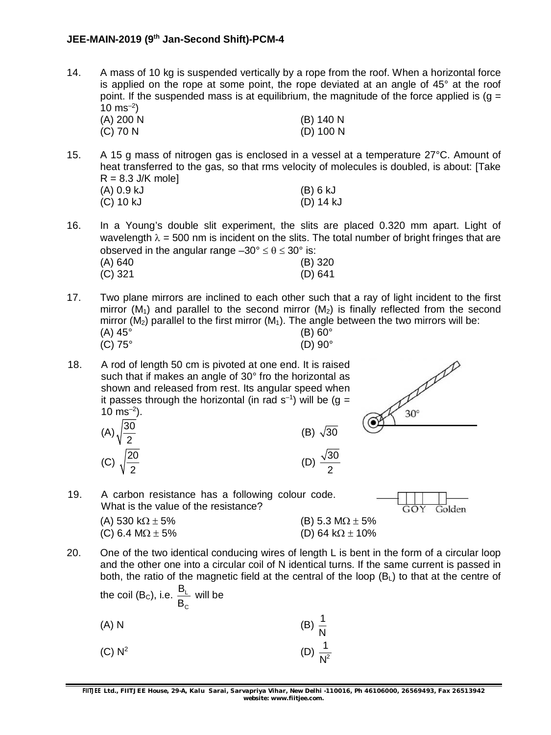14. A mass of 10 kg is suspended vertically by a rope from the roof. When a horizontal force is applied on the rope at some point, the rope deviated at an angle of  $45^\circ$  at the roof point. If the suspended mass is at equilibrium, the magnitude of the force applied is ( $q =$  $10 \text{ ms}^{-2}$ 

| (A) 200 N | (B) 140 N   |
|-----------|-------------|
| (C) 70 N  | $(D)$ 100 N |

15. A 15 g mass of nitrogen gas is enclosed in a vessel at a temperature 27°C. Amount of heat transferred to the gas, so that rms velocity of molecules is doubled, is about: [Take  $R = 8.3$  J/K mole]

| (A) 0.9 kJ | (B) 6 kJ  |
|------------|-----------|
| (C) 10 kJ  | (D) 14 kJ |

16. In a Young's double slit experiment, the slits are placed 0.320 mm apart. Light of wavelength  $\lambda = 500$  nm is incident on the slits. The total number of bright fringes that are observed in the angular range  $-30^{\circ} \le \theta \le 30^{\circ}$  is:

| (A) 640   | $(B)$ 320 |
|-----------|-----------|
| $(C)$ 321 | (D) 641   |

17. Two plane mirrors are inclined to each other such that a ray of light incident to the first mirror  $(M_1)$  and parallel to the second mirror  $(M_2)$  is finally reflected from the second mirror ( $M_2$ ) parallel to the first mirror ( $M_1$ ). The angle between the two mirrors will be:  $(A) 45^{\circ}$  (B) 60°

 $\sqrt{30}$ 

 $\sqrt{30}$ 2

- (C)  $75^{\circ}$  (D)  $90^{\circ}$
- 18. A rod of length 50 cm is pivoted at one end. It is raised such that if makes an angle of 30° fro the horizontal as shown and released from rest. Its angular speed when it passes through the horizontal (in rad  $s^{-1}$ ) will be (g =  $10 \text{ ms}^{-2}$ ).

(A) 
$$
\sqrt{\frac{30}{2}}
$$
 (B)  
\n(C)  $\sqrt{\frac{20}{2}}$  (D)



19. A carbon resistance has a following colour code. What is the value of the resistance?



- (A) 530 k $\Omega \pm 5\%$  (B) 5.3 M $\Omega \pm 5\%$ (C) 6.4 M $\Omega$  ± 5% (D) 64 k $\Omega$  ± 10%
- 20. One of the two identical conducing wires of length L is bent in the form of a circular loop and the other one into a circular coil of N identical turns. If the same current is passed in both, the ratio of the magnetic field at the central of the loop  $(B<sub>L</sub>)$  to that at the centre of

the coil (B<sub>c</sub>), i.e. 
$$
\frac{B_L}{B_C}
$$
 will be  
\n(A) N\n(B)  $\frac{1}{N}$   
\n(C) N<sup>2</sup>\n(D)  $\frac{1}{N^2}$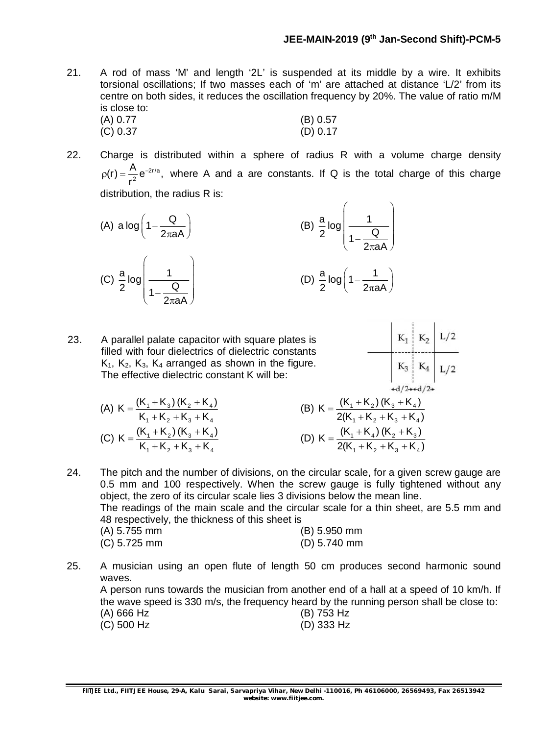21. A rod of mass 'M' and length '2L' is suspended at its middle by a wire. It exhibits torsional oscillations; If two masses each of 'm' are attached at distance 'L/2' from its centre on both sides, it reduces the oscillation frequency by 20%. The value of ratio m/M is close to:<br> $(A)$   $0.77$ 

(A) 0.77 (B) 0.57 (C) 0.37 (D) 0.17

22. Charge is distributed within a sphere of radius R with a volume charge density 2r/a 2  $(r) = \frac{A}{2} e^{-2r/a},$ r  $p(r) = \frac{R}{r^2} e^{-2r/a}$ , where A and a are constants. If Q is the total charge of this charge distribution, the radius R is:

(A) 
$$
a \log \left(1 - \frac{Q}{2\pi aA}\right)
$$
  
\n(B)  $\frac{a}{2} \log \left(\frac{1}{1 - \frac{Q}{2\pi aA}}\right)$   
\n(C)  $\frac{a}{2} \log \left(\frac{1}{1 - \frac{Q}{2\pi aA}}\right)$   
\n(D)  $\frac{a}{2} \log \left(1 - \frac{1}{2\pi aA}\right)$ 

23. A parallel palate capacitor with square plates is filled with four dielectrics of dielectric constants  $K_1$ ,  $K_2$ ,  $K_3$ ,  $K_4$  arranged as shown in the figure. The effective dielectric constant K will be:

$$
\begin{array}{c|c|c}\n & K_1 & K_2 & L/2 \\
\hline\n & K_3 & K_4 & L/2 \\
\hline\n & \downarrow d/2 & \downarrow d/2\n\end{array}
$$

(A)  $K = \frac{(N_1 + N_3) (N_2 + N_4)}{(N_1 + N_3) (N_2 + N_4)}$  $1 + 2 + 3 + 3$  $K = \frac{(K_1 + K_3)(K_2 + K_4)}{K_1 + K_2}$  $K_1 + K_2 + K_3 + K$  $=\frac{(K_1+K_3)(K_2+K_3)}{(K_1+K_2+K_3)}$  $+K_{2}+K_{3}+K_{3}$ (C)  $K = \frac{(N_1 + N_2) (N_3 + N_4)}{(N_1 + N_2) (N_3 + N_4)}$  $1 + 2 + 3 + 3$  $K = \frac{(K_1 + K_2)(K_3 + K_4)}{K_1 + K_2}$  $K_1 + K_2 + K_3 + K$  $=\frac{(K_1+K_2)(K_3+K_3)}{(K_1+K_2)(K_3+K_3)}$  $+K_{2}+K_{3}+K_{3}$ 

(B) 
$$
K = \frac{(K_1 + K_2) (K_3 + K_4)}{2(K_1 + K_2 + K_3 + K_4)}
$$
  
(D) 
$$
K = \frac{(K_1 + K_4) (K_2 + K_3)}{2(K_1 + K_2 + K_3 + K_4)}
$$

24. The pitch and the number of divisions, on the circular scale, for a given screw gauge are 0.5 mm and 100 respectively. When the screw gauge is fully tightened without any object, the zero of its circular scale lies 3 divisions below the mean line. The readings of the main scale and the circular scale for a thin sheet, are 5.5 mm and 48 respectively, the thickness of this sheet is

| (A) 5.755 mm | (B) 5.950 mm   |
|--------------|----------------|
| (C) 5.725 mm | $(D)$ 5.740 mm |

25. A musician using an open flute of length 50 cm produces second harmonic sound waves.

A person runs towards the musician from another end of a hall at a speed of 10 km/h. If the wave speed is 330 m/s, the frequency heard by the running person shall be close to: (A) 666 Hz (B) 753 Hz

(C) 500 Hz (D) 333 Hz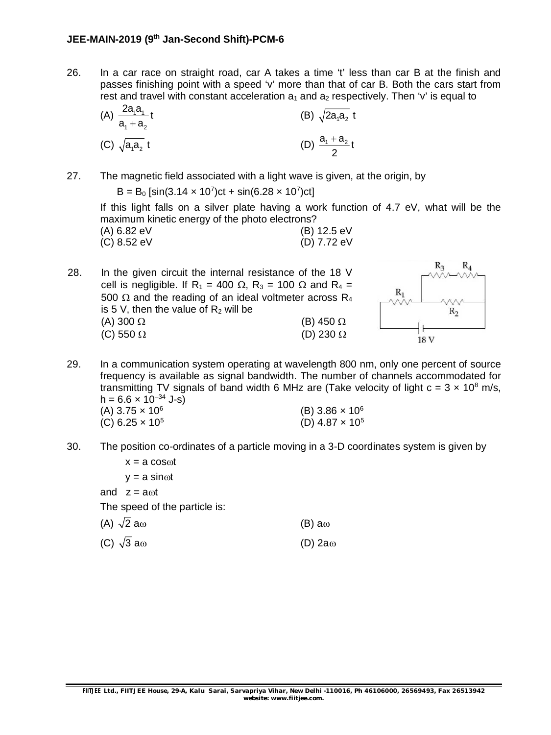26. In a car race on straight road, car A takes a time 't' less than car B at the finish and passes finishing point with a speed 'v' more than that of car B. Both the cars start from rest and travel with constant acceleration  $a_1$  and  $a_2$  respectively. Then 'v' is equal to

(A) 
$$
\frac{2a_1a_1}{a_1 + a_2}t
$$
  
\n(B)  $\sqrt{2a_1a_2}t$   
\n(C)  $\sqrt{a_1a_2}t$   
\n(D)  $\frac{a_1 + a_2}{2}t$ 

27. The magnetic field associated with a light wave is given, at the origin, by

 $B = B_0$  [sin(3.14  $\times$  10<sup>7</sup>)ct + sin(6.28  $\times$  10<sup>7</sup>)ct]

If this light falls on a silver plate having a work function of 4.7 eV, what will be the maximum kinetic energy of the photo electrons?

|             | . |             |
|-------------|---|-------------|
| (A) 6.82 eV |   | (B) 12.5 eV |
| (C) 8.52 eV |   | (D) 7.72 eV |

28. In the given circuit the internal resistance of the 18 V cell is negligible. If R<sub>1</sub> = 400  $\Omega$ , R<sub>3</sub> = 100  $\Omega$  and R<sub>4</sub> = 500  $\Omega$  and the reading of an ideal voltmeter across R<sub>4</sub> is 5 V, then the value of  $R_2$  will be (A) 300  $\Omega$  (B) 450  $\Omega$ (C) 550  $\Omega$  (D) 230  $\Omega$ 



- 29. In a communication system operating at wavelength 800 nm, only one percent of source frequency is available as signal bandwidth. The number of channels accommodated for transmitting TV signals of band width 6 MHz are (Take velocity of light  $c = 3 \times 10^8$  m/s,  $h = 6.6 \times 10^{-34}$  J-s)  $(A)$  3.75  $\times$  10<sup>6</sup> (B)  $3.86 \times 10^6$ (C)  $6.25 \times 10^5$  $(D)$  4.87  $\times$  10<sup>5</sup>
- 30. The position co-ordinates of a particle moving in a 3-D coordinates system is given by

 $x = a \cos \omega t$  $y = a \sin \omega t$ and  $z = a<sub>0</sub>t$ The speed of the particle is: (A)  $\sqrt{2}$  a (B) a (B) a (B) a (B) (C)  $\sqrt{3}$  a  $\omega$  (D) 2a  $\omega$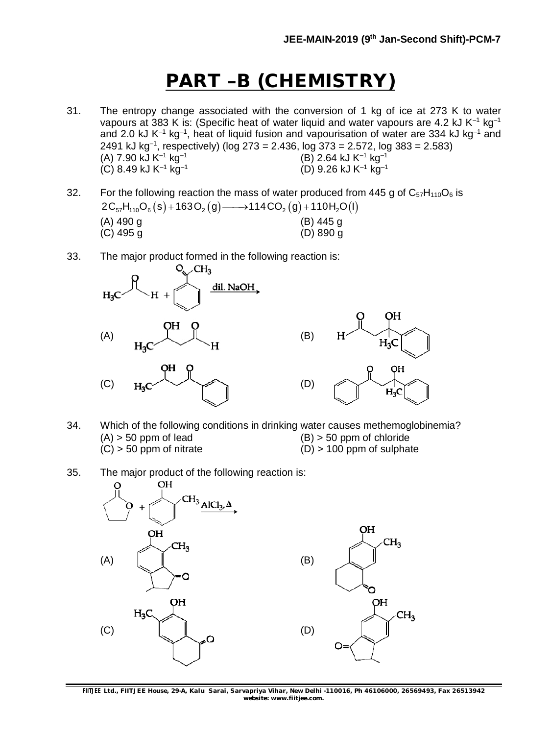# **PART –B (CHEMISTRY)**

- 31. The entropy change associated with the conversion of 1 kg of ice at 273 K to water vapours at 383 K is: (Specific heat of water liquid and water vapours are 4.2 kJ  $K^{-1}$  kg<sup>-1</sup> and 2.0 kJ K<sup>-1</sup> kg<sup>-1</sup>, heat of liquid fusion and vapourisation of water are 334 kJ kg<sup>-1</sup> and 2491 kJ kg–1 , respectively) (log 273 = 2.436, log 373 = 2.572, log 383 = 2.583)  $(A)$  7.90 kJ K<sup>-1</sup> kg<sup>-1</sup>  $(B)$  2.64 kJ K<sup>-1</sup> kg<sup>-1</sup>  $(C)$  8.49 kJ K<sup>-1</sup> kg<sup>-1</sup> (D) 9.26 kJ K–1 kg–1
- 32. For the following reaction the mass of water produced from 445 g of  $C_{57}H_{110}O_6$  is  $2C_{57}H_{110}O_6(s) + 163O_2(g) \longrightarrow 114CO_2(g) + 110H_2O(l)$ (A) 490 g (B) 445 g (C) 495 g (D) 890 g
- 33. The major product formed in the following reaction is:



- 34. Which of the following conditions in drinking water causes methemoglobinemia?  $(A)$  > 50 ppm of lead  $(B)$  > 50 ppm of chloride  $(C)$  > 50 ppm of nitrate  $(D)$  > 100 ppm of sulphate
- 35. The major product of the following reaction is:



**FIITJEE** *Ltd., FIITJEE House, 29-A, Kalu Sarai, Sarvapriya Vihar, New Delhi -110016, Ph 46106000, 26569493, Fax 26513942 website: [www.fiitjee.com.](http://www.fiitjee.com.)*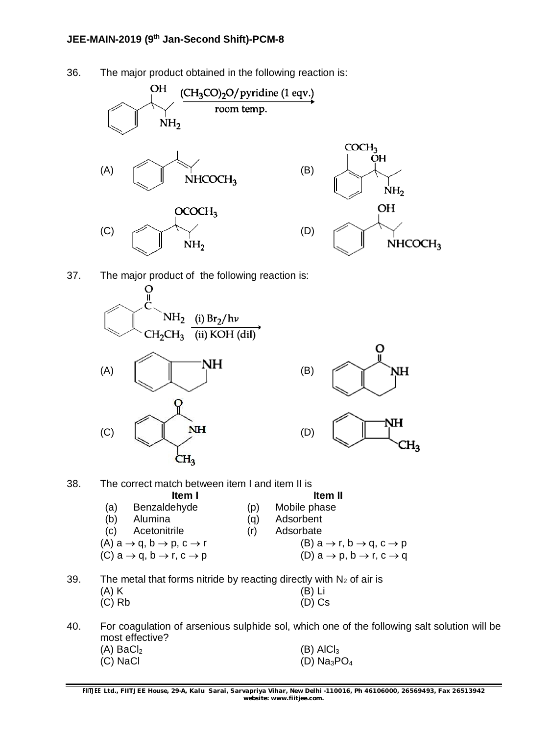#### **JEE-MAIN-2019 (9th Jan-Second Shift)-PCM-8**

36. The major product obtained in the following reaction is:





 $CH<sub>3</sub>$ 

37. The major product of the following reaction is:



| (b) | Alumina                                                       | (a) | Adsorbent                                                     |
|-----|---------------------------------------------------------------|-----|---------------------------------------------------------------|
| (C) | Acetonitrile                                                  | (r) | Adsorbate                                                     |
|     | $(A)$ a $\rightarrow$ q, b $\rightarrow$ p, c $\rightarrow$ r |     | $(B)$ a $\rightarrow$ r, b $\rightarrow$ q, c $\rightarrow$ p |
|     | $(C)$ a $\rightarrow$ q, b $\rightarrow$ r, c $\rightarrow$ p |     | $(D)$ a $\rightarrow$ p, b $\rightarrow$ r, c $\rightarrow$ q |
|     |                                                               |     |                                                               |

- 39. The metal that forms nitride by reacting directly with  $N_2$  of air is (A) K (B) Li (C) Rb (D) Cs
- 40. For coagulation of arsenious sulphide sol, which one of the following salt solution will be most effective?

| $(A)$ BaCl <sub>2</sub> | $(B)$ AICI <sub>3</sub> |
|-------------------------|-------------------------|
| (C) NaCl                | (D) $Na_3PO_4$          |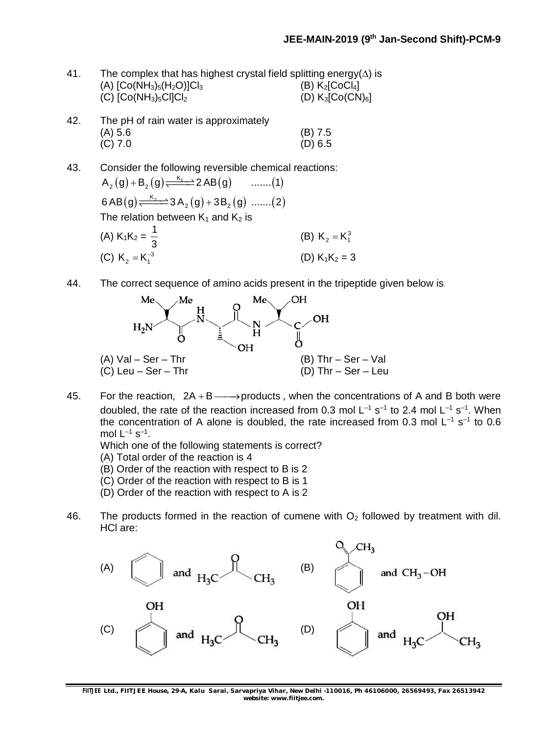| 41. | The complex that has highest crystal field splitting energy( $\Delta$ ) is |                                         |  |
|-----|----------------------------------------------------------------------------|-----------------------------------------|--|
|     | (A) $[Co(NH_3)_5(H_2O)]Cl_3$                                               | (B) K <sub>2</sub> [CoCl <sub>4</sub> ] |  |
|     | $(C)$ $[Co(NH3)5Cl]Cl2$                                                    | (D) $K_3$ [Co(CN) <sub>6</sub> ]        |  |
| 42. | The pH of rain water is approximately                                      |                                         |  |

| 42. | The pH of rain water is approximately |           |
|-----|---------------------------------------|-----------|
|     | (A) 5.6                               | $(B)$ 7.5 |
|     | (C) 7.0                               | (D) 6.5   |

- 43. Consider the following reversible chemical reactions:  $(g) + B_2(g) \xrightarrow{K_1} 2AB(g)$  .......(1)  $(g) \xleftarrow{K_2} 3A_2(g) + 3B_2(g)$  .......(2)  $A_2(g) + B_2(g) \xrightarrow{K_1} 2AB(g)$  .......(1) 6 AB $\left($ g $\right)\rightleftharpoons$   $\stackrel{\rm K_{2}}{\xrightarrow{2}}$ 3 A $_{2}$  $\left($ g $\right)+$  3B $_{2}$  $\left($ g $\right)$  ....... $\left($ 2 $\right)$ The relation between  $K_1$  and  $K_2$  is (A)  $K_1K_2 = \frac{1}{2}$ 3 (B)  $K_2 = K_1^3$ (C)  $K_2 = K_1^{-3}$ (D)  $K_1K_2 = 3$
- 44. The correct sequence of amino acids present in the tripeptide given below is



45. For the reaction,  $2A + B \longrightarrow$  products, when the concentrations of A and B both were doubled, the rate of the reaction increased from 0.3 mol  $L^{-1}$  s<sup>-1</sup> to 2.4 mol  $L^{-1}$  s<sup>-1</sup>. When the concentration of A alone is doubled, the rate increased from 0.3 mol  $L^{-1}$  s<sup>-1</sup> to 0.6 mol  $L^{-1}$  s<sup>-1</sup>.

Which one of the following statements is correct?

(A) Total order of the reaction is 4

- (B) Order of the reaction with respect to B is 2
- (C) Order of the reaction with respect to B is 1
- (D) Order of the reaction with respect to A is 2
- 46. The products formed in the reaction of cumene with  $O<sub>2</sub>$  followed by treatment with dil. HCl are:



**FIITJEE** *Ltd., FIITJEE House, 29-A, Kalu Sarai, Sarvapriya Vihar, New Delhi -110016, Ph 46106000, 26569493, Fax 26513942 website: [www.fiitjee.com.](http://www.fiitjee.com.)*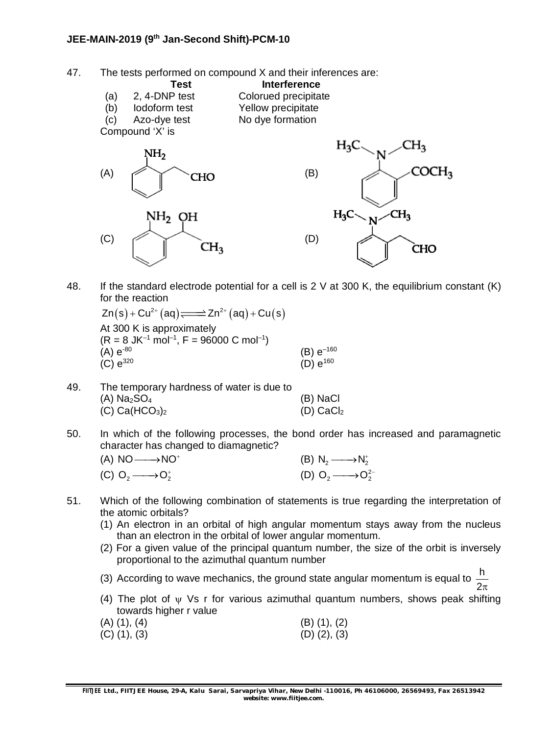47. The tests performed on compound X and their inferences are:

**Test Interference**<br> **2.4-DNP test Colorued precipita** (a) 2, 4-DNP test Colorued precipitate (b) Iodoform test Yellow precipitate (c) Azo-dye test No dye formation Compound 'X' is NH,



48. If the standard electrode potential for a cell is 2 V at 300 K, the equilibrium constant (K) for the reaction

 $Zn(s) + Cu^{2+}(aq) \rightleftharpoons Zn^{2+}(aq) + Cu(s)$ At 300 K is approximately  $(R = 8 \text{ JK}^{-1} \text{ mol}^{-1}, F = 96000 \text{ C mol}^{-1})$ (A)  $e^{-80}$  (B)  $e^{-160}$ <br>(C)  $e^{320}$  (D)  $e^{160}$  $(C) e^{320}$ 

- 49. The temporary hardness of water is due to  $(A)$  Na<sub>2</sub>SO<sub>4</sub> (B) NaCl  $(C)$  Ca(HCO<sub>3</sub>)<sub>2</sub> (D) CaCl<sub>2</sub>
- 50. In which of the following processes, the bond order has increased and paramagnetic character has changed to diamagnetic?

| $(A) NO \longrightarrow NO^+$   | (B) $N_2 \longrightarrow N_2^+$    |  |
|---------------------------------|------------------------------------|--|
| (C) $O_2 \longrightarrow O_2^+$ | (D) $O_2 \longrightarrow O_2^{2-}$ |  |

- 51. Which of the following combination of statements is true regarding the interpretation of the atomic orbitals?
	- (1) An electron in an orbital of high angular momentum stays away from the nucleus than an electron in the orbital of lower angular momentum.
	- (2) For a given value of the principal quantum number, the size of the orbit is inversely proportional to the azimuthal quantum number
	- (3) According to wave mechanics, the ground state angular momentum is equal to <sup>h</sup>  $2\pi$
	- (4) The plot of  $\psi$  Vs r for various azimuthal quantum numbers, shows peak shifting towards higher r value
	- $(A)$  (1), (4) (B) (1), (2)  $(C)$  (1), (3) (D) (2), (3)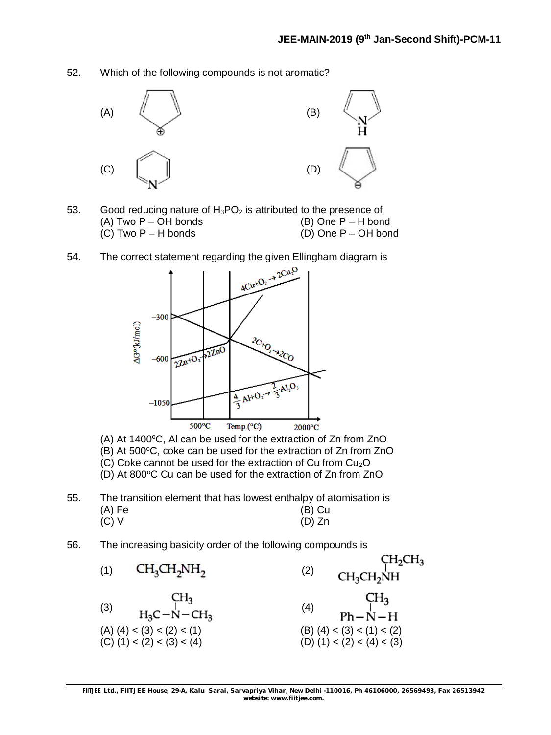52. Which of the following compounds is not aromatic?



- 53. Good reducing nature of  $H_3PO_2$  is attributed to the presence of (A) Two  $P - OH$  bonds (B) One  $P - H$  bond (C) Two  $P - H$  bonds (D) One  $P - OH$  bond
- 54. The correct statement regarding the given Ellingham diagram is



(A) At 1400 $^{\circ}$ C, Al can be used for the extraction of Zn from ZnO

- $(B)$  At 500 $\degree$ C, coke can be used for the extraction of Zn from ZnO
- (C) Coke cannot be used for the extraction of Cu from  $Cu<sub>2</sub>O$
- (D) At 800°C Cu can be used for the extraction of Zn from ZnO
- 55. The transition element that has lowest enthalpy of atomisation is (A) Fe (B) Cu  $(D)$  Zn
- 56. The increasing basicity order of the following compounds is

| (1) | $CH3CH2NH2$                                                                                            | (2) | CH <sub>2</sub> CH <sub>3</sub><br>CH <sub>2</sub> CH <sub>2</sub> NH                     |
|-----|--------------------------------------------------------------------------------------------------------|-----|-------------------------------------------------------------------------------------------|
| (3) | CH <sub>3</sub><br>$H_3C-N-CH_3$<br>$(A)$ $(4)$ < $(3)$ < $(2)$ < $(1)$<br>$(C)$ (1) < (2) < (3) < (4) | (4) | CH <sub>3</sub><br>$Ph-N-H$<br>(B) $(4) < (3) < (1) < (2)$<br>(D) $(1) < (2) < (4) < (3)$ |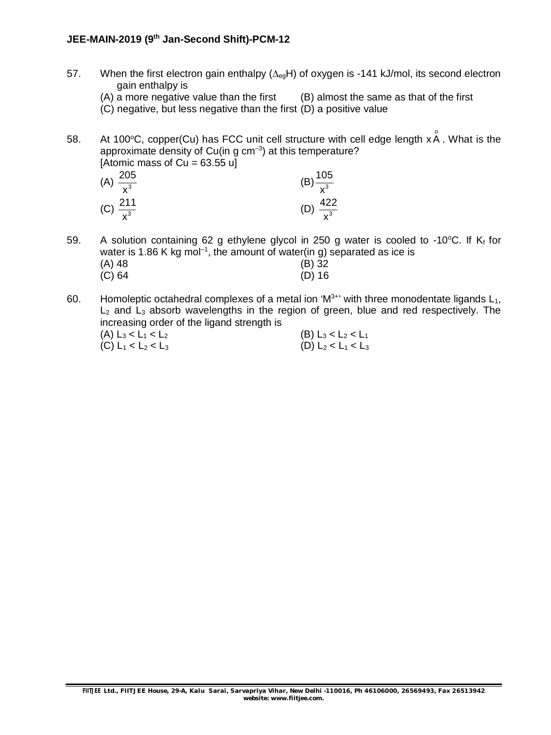#### **JEE-MAIN-2019 (9th Jan-Second Shift)-PCM-12**

- 57. When the first electron gain enthalpy  $(\Delta_{eg}H)$  of oxygen is -141 kJ/mol, its second electron gain enthalpy is
	- $(A)$  a more negative value than the first  $(B)$  almost the same as that of the first
	- (C) negative, but less negative than the first (D) a positive value

58. At 100°C, copper(Cu) has FCC unit cell structure with cell edge length x  $\stackrel{\circ}{\mathsf{A}}$  . What is the approximate density of Cu(in g cm $^{-3}$ ) at this temperature? [Atomic mass of  $Cu = 63.55$  u]

| (A) $\frac{205}{x^3}$ | (B) $\frac{105}{x^3}$ |
|-----------------------|-----------------------|
| (C) $\frac{211}{x^3}$ | (D) $\frac{422}{x^3}$ |

59. A solution containing 62 g ethylene glycol in 250 g water is cooled to -10°C. If  $K_f$  for water is 1.86 K kg mol<sup>-1</sup>, the amount of water(in g) separated as ice is (A) 48 (B) 32 (C) 64 (D) 16

60. Homoleptic octahedral complexes of a metal ion ' $M^{3+}$ ' with three monodentate ligands  $L_1$ ,  $L_2$  and  $L_3$  absorb wavelengths in the region of green, blue and red respectively. The increasing order of the ligand strength is

| (A) $L_3 < L_1 < L_2$ | (B) $L_3 < L_2 < L_1$ |
|-----------------------|-----------------------|
| (C) $L_1 < L_2 < L_3$ | (D) $L_2 < L_1 < L_3$ |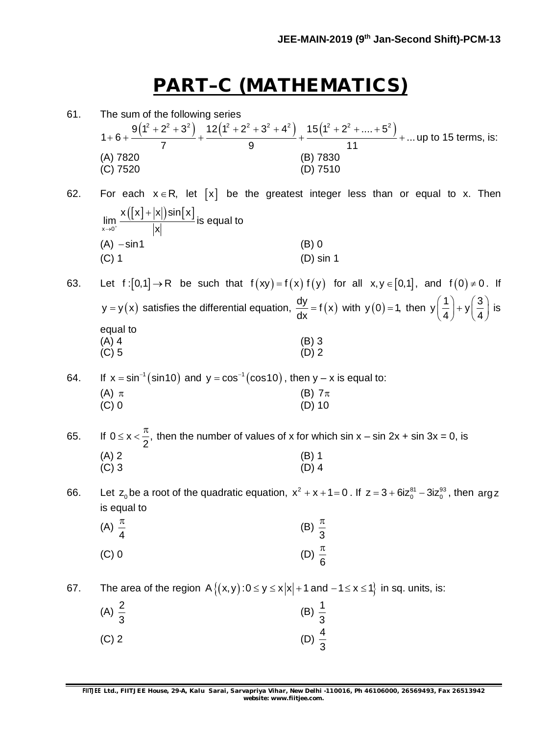# **PART–C (MATHEMATICS)**

61. The sum of the following series  $9(1^2+2^2+3^2)$   $12(1^2+2^2+3^2+4^2)$   $15(1^2+2^2+...+5^2)$  $1+6+\frac{1}{7}+\frac{1}{7}+\frac{1}{7}+\frac{1}{7}+\frac{1}{7}+\ldots$ 7 9 11  $+2^{2}+3^{2}$  12(1<sup>2</sup> + 2<sup>2</sup> + 3<sup>2</sup> + 4<sup>2</sup>) 15(1<sup>2</sup> + 2<sup>2</sup> + ... + 5  $+6+\frac{1}{7}+\frac{1}{7}+\frac{1}{7}+\frac{1}{7}+\frac{1}{7}+\ldots$  up to 15 terms, is: (A) 7820 (B) 7830 (C) 7520 (D) 7510 62. For each  $x \in R$ , let  $\lceil x \rceil$  be the greatest integer less than or equal to x. Then  $(\lfloor x \rfloor + \lfloor x \rfloor)$ sin $\lfloor x \rfloor$  $x\rightarrow 0$  $x([x]+|x|)$ sin $\lceil x \rceil$ lim x  $\ddot{}$ is equal to  $(A) - \sin 1$  (B) 0 (C) 1 (D) sin 1 63. Let  $f:[0,1] \to \mathbb{R}$  be such that  $f(xy) = f(x) f(y)$  for all  $x, y \in [0,1]$ , and  $f(0) \ne 0$ . If  $y = y(x)$  satisfies the differential equation,  $\frac{dy}{dx} = f(x)$  $\frac{dy}{dx}$  = f(x) with y(0) = 1, then y $\left(\frac{1}{4}\right)$  + y $\left(\frac{3}{4}\right)$ 4)  $(4)$  $\left(\frac{1}{4}\right) + y \left(\frac{3}{4}\right)$  is equal to  $(A)$  4 (B) 3  $(C) 5$  (D) 2 64. If  $x = \sin^{-1}(\sin 10)$  and  $y = \cos^{-1}(\cos 10)$ , then  $y - x$  is equal to: (A)  $\pi$  (B)  $7\pi$ (C) 0 (D) 10 65. If  $0 \le x < \frac{\pi}{2}$ , if 2  $t \leq x < \frac{\pi}{6}$ , then the number of values of x for which sin x – sin 2x + sin 3x = 0, is  $(A) 2$  (B) 1  $(C)$  3 (D) 4 66. Let z<sub>0</sub> be a root of the quadratic equation,  $x^2 + x + 1 = 0$ . If  $z = 3 + 6iz_0^{81} - 3iz_0^{93}$ , then argz is equal to (A) 4  $\pi$ (B) 3  $\pi$  $(C) 0$  (D) 6  $\pi$ 67. The area of the region  $A\{(x,y): 0 \le y \le x |x| + 1 \text{ and } -1 \le x \le 1\}$  in sq. units, is: (A)  $\frac{2}{5}$ 3 (B)  $\frac{1}{6}$ 3 (C) 2 (D)  $\frac{4}{3}$ 

3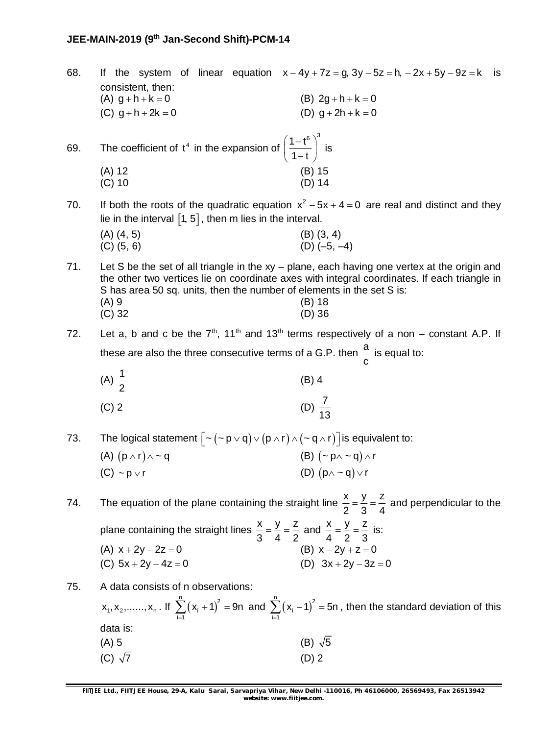68. If the system of linear equation  $x - 4y + 7z = g$ ,  $3y - 5z = h$ ,  $-2x + 5y - 9z = k$  is consistent, then: (A)  $q + h + k = 0$  (B)  $2q + h + k = 0$ (C)  $q + h + 2k = 0$  (D)  $q + 2h + k = 0$ 69. The coefficient of  $t^4$  in the expansion of  $1 - t^6$ )<sup>3</sup>  $1 - t$  $(1-t^6)^{\circ}$  $\left(\frac{1}{1-t}\right)$  is (A) 12 (B) 15 (C) 10 (D) 14 70. If both the roots of the quadratic equation  $x^2 - 5x + 4 = 0$  are real and distinct and they lie in the interval  $[1, 5]$ , then m lies in the interval.  $(A)$   $(4, 5)$   $(B)$   $(3, 4)$  $(C)$  (5, 6) (D) (–5, –4) 71. Let S be the set of all triangle in the xy – plane, each having one vertex at the origin and the other two vertices lie on coordinate axes with integral coordinates. If each triangle in S has area 50 sq. units, then the number of elements in the set S is: (A) 9 (B) 18 (C) 32 (D) 36 72. Let a, b and c be the  $7<sup>th</sup>$ , 11<sup>th</sup> and 13<sup>th</sup> terms respectively of a non – constant A.P. If these are also the three consecutive terms of a G.P. then  $\stackrel{\text{a}}{=}$ c is equal to: (A)  $\frac{1}{2}$ 2 (B) 4 (C) 2 (D)  $\frac{7}{16}$ 13 73. The logical statement  $\left[ \sim (\sim p \lor q) \lor (p \land r) \land (\sim q \land r) \right]$  is equivalent to: (A)  $(p \wedge r) \wedge \sim q$  (B)  $(\sim p \wedge \sim q) \wedge r$ (C)  $\sim$  p  $\lor$  r (D) (p  $\sim$  q) $\lor$  r 74. The equation of the plane containing the straight line  $\frac{x}{6} = \frac{y}{2} = \frac{z}{1}$ 2 3 4  $=\frac{y}{2}=\frac{z}{x}$  and perpendicular to the plane containing the straight lines  $\frac{x}{2} = \frac{y}{4} = \frac{z}{2}$ 3 4 2  $=\frac{y}{4}=\frac{z}{2}$  and  $\frac{x}{4}=\frac{y}{2}=\frac{z}{3}$ 4 2 3  $=\frac{y}{2}=\frac{z}{2}$  is: (A)  $x + 2y - 2z = 0$  (B)  $x - 2y + z = 0$ (C)  $5x + 2y - 4z = 0$  (D)  $3x + 2y - 3z = 0$ 75. A data consists of n observations:  $x_1, x_2, \dots, x_n$ . If  $\sum_{i=1}^{n} (x_i + 1)^2$ ∠ ( ^i<br>i=1  $x_{i} + 1)^{2} = 9n$  $\sum_{i=1}^{n} (x_i + 1)^2 = 9n$  and  $\sum_{i=1}^{n} (x_i - 1)^2$  $\sum_{i=1}$  (  $\lambda_i$  $x_{i} - 1)^{2} = 5n$  $\sum_{i=1}^{\infty} (x_i - 1)^2 = 5n$ , then the standard deviation of this data is: (A) 5 (B)  $\sqrt{5}$ (C)  $\sqrt{7}$  (D) 2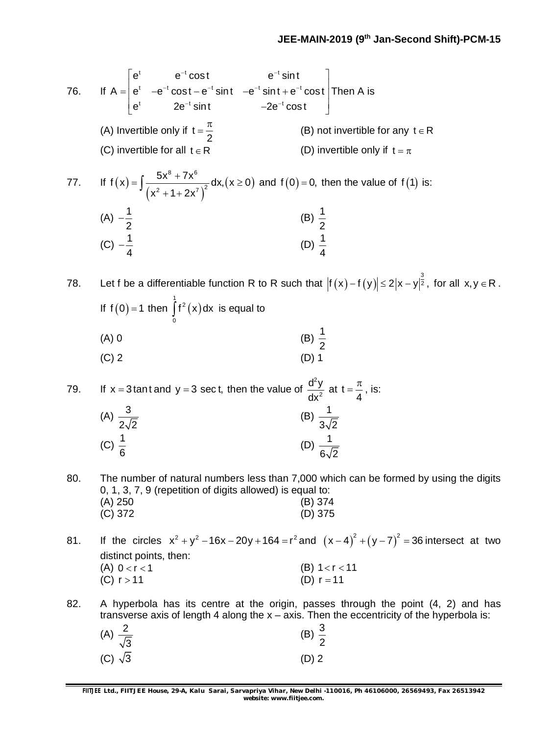76. If  $t \qquad \qquad \Omega^{-1}$  cont  $t \sim t$  cost  $e^{-t}$  cint  $e^{-t}$  cint  $e^{-t}$  $t = 2e^{-t} \sin t$   $2e^{-t}$  $e^t$  e<sup>-t</sup> cost e<sup>-t</sup> sin t  $\mathsf{A}=\mid \mathsf{e}^\mathsf{t} \quad -\mathsf{e}^{-\mathsf{t}} \mathop{\mathrm{cost}} - \mathsf{e}^{-\mathsf{t}} \mathop{\mathrm{sin}} \mathsf{t} \quad -\mathsf{e}^{-\mathsf{t}} \mathop{\mathrm{sin}} \mathsf{t} + \mathsf{e}^{-\mathsf{t}} \mathop{\mathrm{cost}}$  $e^{t}$  2e<sup>-t</sup> sint  $-2e^{-t}$  cost  $^{-1}$  cost o<sup>-t</sup>  $-t$  cont of cint of cint of  $-t$  cint  $2e^{-t}$  $\mathsf{e}^\mathsf{t} = \left| \begin{array}{ccc} \mathsf{e}^\mathsf{t} & \mathsf{e}^{-\mathsf{t}} \cos \mathsf{t} & \mathsf{e}^{-\mathsf{t}} \sin \mathsf{t} \ \mathsf{e}^\mathsf{t} & -\mathsf{e}^{-\mathsf{t}} \cos \mathsf{t} - \mathsf{e}^{-\mathsf{t}} \sin \mathsf{t} & -\mathsf{e}^{-\mathsf{t}} \sin \mathsf{t} + \mathsf{e}^{-\mathsf{t}} \cos \mathsf{t} \end{array} \right| \mathsf{T}$  $\left[e^{t}\right]$  2e<sup>-t</sup> sint  $-2e^{-t}\cos t$ Then A is (A) Invertible only if t 2  $\pi$ (B) not invertible for any  $t \in R$ (C) invertible for all  $t \in R$  (D) invertible only if  $t = \pi$ 77. If  $f(x)$  $(x^{2} + 1 + 2x^{2})$  $(x \ge 0)$ 8, 7v<sup>6</sup>  $f(x) = \int \frac{5x^8 + 7x^6}{(x^2 + 1 + 2x^7)^2} dx, (x \ge 0)$  $x^2 + 1 + 2x$  $=\int \frac{5x^8 + 7x^6}{x^2} dx, (x \ge 0)$  $\int \frac{6x^2 + 7x}{(x^2 + 1 + 2x^7)^2} dx$ ,  $(x \ge 0)$  and  $f(0) = 0$ , then the value of  $f(1)$  is: (A)  $-\frac{1}{6}$ 2  $\frac{1}{6}$  (B)  $\frac{1}{6}$ 2 (C)  $-\frac{1}{4}$ 4  $-\frac{1}{4}$  (D)  $\frac{1}{4}$ 4 78. Let f be a differentiable function R to R such that  $|f(x)-f(y)| \leq 2|x-y|^{\frac{3}{2}},$  for all  $x,y \in R$  . If  $f(0) = 1$  then  $|f^2(x)|$ 1<br>| 12  $\int_{0}^{2}$  (x) dx is equal to (A) 0 (B)  $\frac{1}{2}$ 2  $(C) 2$  (D) 1 79. If  $x = 3$  tant and  $y = 3$  sect, then the value of 2 2  $d^2y$ dx at t 4  $=\frac{\pi}{4}$ , is: (A)  $\frac{3}{2}$  $2\sqrt{2}$ (B)  $\frac{1}{1}$  $3\sqrt{2}$ (C)  $\frac{1}{2}$ 6 (D)  $\frac{1}{1}$  $6\sqrt{2}$ 80. The number of natural numbers less than 7,000 which can be formed by using the digits 0, 1, 3, 7, 9 (repetition of digits allowed) is equal to: (A) 250 (B) 374 (C) 372 (D) 375 81. If the circles  $x^2 + y^2 - 16x - 20y + 164 = r^2$  and  $(x - 4)^2 + (y - 7)^2 = 36$  intersect at two distinct points, then: (A)  $0 < r < 1$  (B)  $1 < r < 11$ (C)  $r > 11$  (D)  $r = 11$ 82. A hyperbola has its centre at the origin, passes through the point (4, 2) and has transverse axis of length 4 along the  $x - a$ xis. Then the eccentricity of the hyperbola is:

| (A) $\frac{2}{\sqrt{3}}$ | (B) $\frac{3}{2}$ |
|--------------------------|-------------------|
| (C) $\sqrt{3}$           | $(D)$ 2           |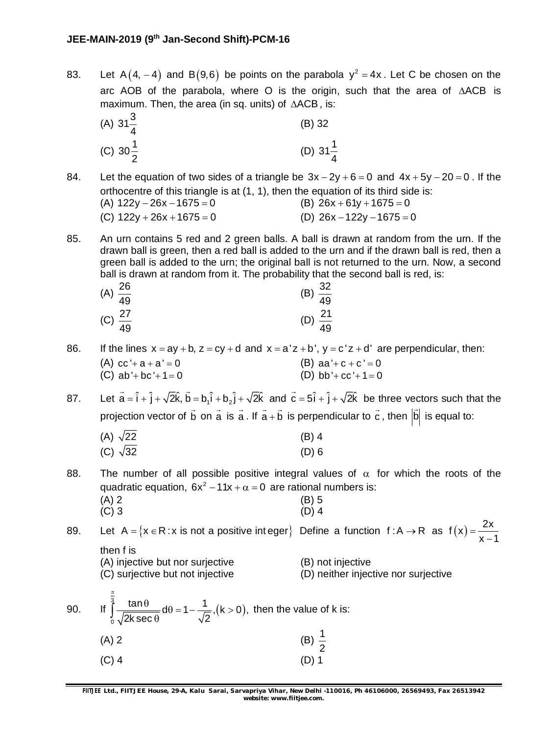83. Let A $(4, -4)$  and B $(9, 6)$  be points on the parabola  $y^2 = 4x$ . Let C be chosen on the arc AOB of the parabola, where O is the origin, such that the area of  $\triangle ACB$  is maximum. Then, the area (in sq. units) of  $\triangle ACB$ , is:

(A) 
$$
31\frac{3}{4}
$$
 (B) 32  
(C)  $30\frac{1}{2}$  (D)  $31\frac{1}{4}$ 

- 84. Let the equation of two sides of a triangle be  $3x 2y + 6 = 0$  and  $4x + 5y 20 = 0$ . If the orthocentre of this triangle is at (1, 1), then the equation of its third side is: (A)  $122y - 26x - 1675 = 0$  (B)  $26x + 61y + 1675 = 0$ (C)  $122y + 26x + 1675 = 0$  (D)  $26x - 122y - 1675 = 0$
- 85. An urn contains 5 red and 2 green balls. A ball is drawn at random from the urn. If the drawn ball is green, then a red ball is added to the urn and if the drawn ball is red, then a green ball is added to the urn; the original ball is not returned to the urn. Now, a second ball is drawn at random from it. The probability that the second ball is red, is:

| (A) $\frac{26}{49}$ | (B) $\frac{32}{49}$ |
|---------------------|---------------------|
|                     |                     |
| (C) $\frac{27}{49}$ | (D) $\frac{21}{49}$ |
|                     |                     |

- 86. If the lines  $x = ay + b$ ,  $z = cy + d$  and  $x = a'z + b'$ ,  $y = c'z + d'$  are perpendicular, then: (A)  $cc' + a + a' = 0$  (B)  $aa' + c + c' = 0$ 
	- (C) ab'+bc'+1=0 (D) bb'+cc'+1=0
- 87. Let  $\vec{a} = \hat{i} + \hat{j} + \sqrt{2}\hat{k}$ ,  $\vec{b} = b_1 \hat{i} + b_2 \hat{j} + \sqrt{2}\hat{k}$  and  $\vec{c} = 5\hat{i} + \hat{j} + \sqrt{2}\hat{k}$ be three vectors such that the projection vector of b  $\rightarrow$ on a  $\rightarrow$ is a  $\rightarrow$ . If  $a + b$  $\rightarrow$ is perpendicular to c  $\rightarrow$ , then  $|{\mathsf b}$  $\overline{a}$ is equal to:

| (A) $\sqrt{22}$ | $(B)$ 4 |
|-----------------|---------|
| (C) $\sqrt{32}$ | $(D)$ 6 |

- 88. The number of all possible positive integral values of  $\alpha$  for which the roots of the quadratic equation,  $6x^2 - 11x + \alpha = 0$  are rational numbers is:  $(A)$  2 (B) 5
	- $(C)$  3 (D) 4

89. Let A = { $x \in R : x$  is not a positive integer} Define a function  $f : A \rightarrow R$  as  $f(x) = \frac{2x}{x}$  $x - 1$  $=$  $\overline{a}$ then f is (A) injective but nor surjective (B) not injective (C) surjective but not injective (D) neither injective nor surjective

90. If 
$$
\int_{0}^{\frac{\pi}{3}} \frac{\tan \theta}{\sqrt{2k \sec \theta}} d\theta = 1 - \frac{1}{\sqrt{2}}
$$
,  $(k > 0)$ , then the value of k is:  
\n(A) 2 \t\t (B)  $\frac{1}{2}$   
\n(C) 4 \t\t (D) 1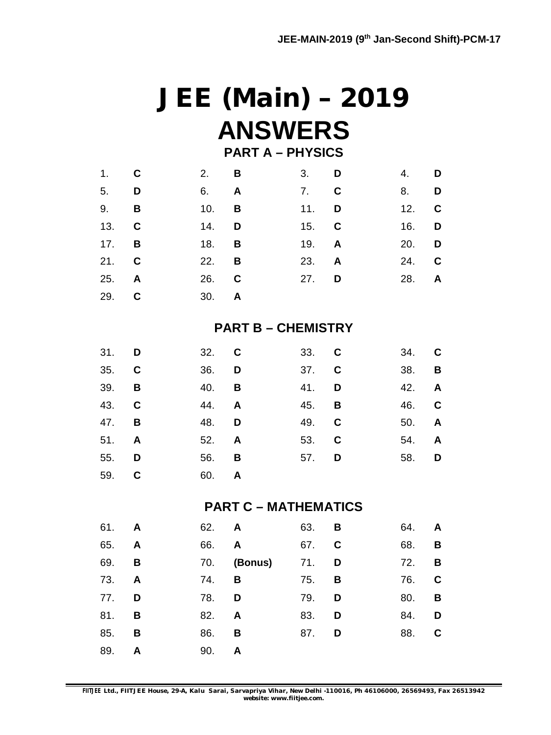# **JEE (Main) – 2019 ANSWERS**

## **PART A – PHYSICS**

| $1.$ C       |   | $2.$ B       |   | $3.$ D       |   | 4. <b>D</b>  |             |
|--------------|---|--------------|---|--------------|---|--------------|-------------|
| 5. <b>D</b>  |   | 6. <b>A</b>  |   | 7. C         |   | 8.           | D           |
| 9.           | B | 10.          | B | 11.          | D | 12.          | <b>C</b>    |
| 13. C        |   | 14.          | D | 15. C        |   | 16. <b>D</b> |             |
| $17.$ B      |   | 18.          | B | 19. A        |   | 20. D        |             |
| 21. C        |   | 22.          | B | 23.          | A | 24.          | $\mathbf C$ |
| 25. <b>A</b> |   | 26. C        |   | 27. <b>D</b> |   | 28. <b>A</b> |             |
| 29. C        |   | 30. <b>A</b> |   |              |   |              |             |
|              |   |              |   |              |   |              |             |

### **PART B – CHEMISTRY**

| 31. <b>D</b> | 32. C        |  | 33. C        | 34. C        |  |
|--------------|--------------|--|--------------|--------------|--|
| 35. C        | 36. <b>D</b> |  | 37. C        | 38. <b>B</b> |  |
| 39. <b>B</b> | 40. <b>B</b> |  | 41. <b>D</b> | 42. A        |  |
| 43. C        | 44. <b>A</b> |  | 45. <b>B</b> | 46. C        |  |
| 47. <b>B</b> | 48. D        |  | 49. C        | 50. <b>A</b> |  |
| 51. <b>A</b> | 52. A        |  | 53. C        | 54. <b>A</b> |  |
| 55. <b>D</b> | 56. <b>B</b> |  | 57. <b>D</b> | 58. D        |  |
| 59. C        | 60. A        |  |              |              |  |

### **PART C – MATHEMATICS**

| 61. A |              | 62. A |         | 63. | B | 64. | A |
|-------|--------------|-------|---------|-----|---|-----|---|
| 65.   | A            | 66.   | A       | 67. | C | 68. | B |
| 69.   | B            | 70.   | (Bonus) | 71. | D | 72. | B |
| 73.   | $\mathsf{A}$ | 74.   | В       | 75. | B | 76. | C |
| 77.   | D            | 78.   | D       | 79. | D | 80. | B |
| 81.   | В            | 82.   | A       | 83. | D | 84. | D |
| 85.   | В            | 86.   | В       | 87. | D | 88. | C |
| 89.   | A            | 90.   | A       |     |   |     |   |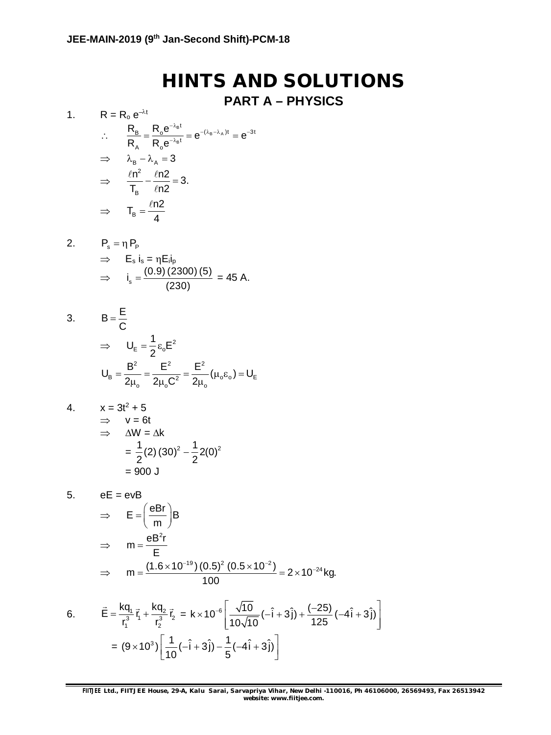# **HINTS AND SOLUTIONS**

## **PART A – PHYSICS**

1. 
$$
R = R_o e^{-\lambda t}
$$
  
\n
$$
\therefore \frac{R_B}{R_A} = \frac{R_o e^{-\lambda_B t}}{R_o e^{-\lambda_B t}} = e^{-(\lambda_B - \lambda_A)t} = e^{-3t}
$$
\n
$$
\Rightarrow \lambda_B - \lambda_A = 3
$$
\n
$$
\Rightarrow \frac{\ell n^2}{T_B} - \frac{\ell n2}{\ell n2} = 3.
$$
\n
$$
\Rightarrow T_B = \frac{\ell n2}{4}
$$

2. 
$$
P_s = \eta P_p
$$
  
\n $\Rightarrow E_s i_s = \eta E_i i_p$   
\n $\Rightarrow i_s = \frac{(0.9) (2300) (5)}{(230)} = 45 A.$ 

3. 
$$
B = \frac{E}{C}
$$

$$
\Rightarrow U_{E} = \frac{1}{2} \varepsilon_{o} E^{2}
$$

$$
U_{B} = \frac{B^{2}}{2\mu_{o}} = \frac{E^{2}}{2\mu_{o}C^{2}} = \frac{E^{2}}{2\mu_{o}} (\mu_{o}\varepsilon_{o}) = U_{E}
$$

4. 
$$
x = 3t^2 + 5
$$
  
\n
$$
\Rightarrow v = 6t
$$
  
\n
$$
\Rightarrow \Delta W = \Delta k
$$
  
\n
$$
= \frac{1}{2}(2)(30)^2 - \frac{1}{2}2(0)^2
$$
  
\n
$$
= 900 \text{ J}
$$

5.  $eE = evB$ 

$$
\Rightarrow \quad E = \left(\frac{eBr}{m}\right)B
$$
  
\n
$$
\Rightarrow \quad m = \frac{eB^2r}{E}
$$
  
\n
$$
\Rightarrow \quad m = \frac{(1.6 \times 10^{-19})(0.5)^2 (0.5 \times 10^{-2})}{100} = 2 \times 10^{-24} \text{ kg.}
$$

6. 
$$
\vec{E} = \frac{kq_1}{r_1^3} \vec{r_1} + \frac{kq_2}{r_2^3} \vec{r_2} = k \times 10^{-6} \left[ \frac{\sqrt{10}}{10\sqrt{10}} (-\hat{i} + 3\hat{j}) + \frac{(-25)}{125} (-4\hat{i} + 3\hat{j}) \right]
$$

$$
= (9 \times 10^3) \left[ \frac{1}{10} (-\hat{i} + 3\hat{j}) - \frac{1}{5} (-4\hat{i} + 3\hat{j}) \right]
$$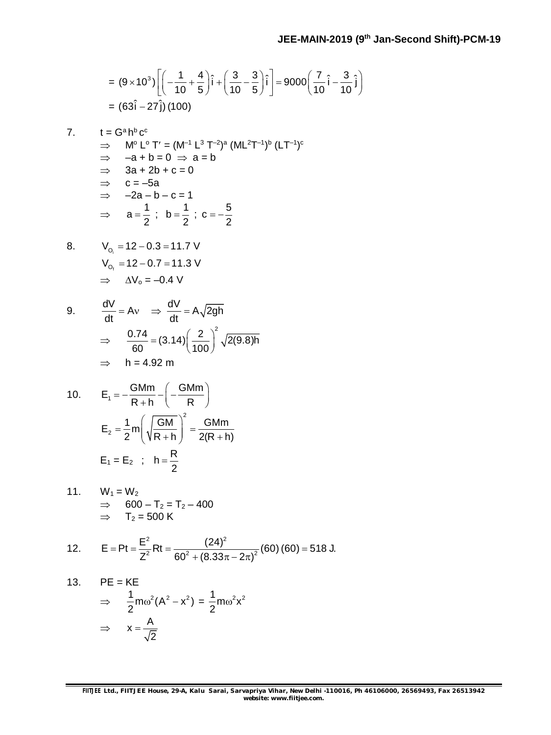$$
= (9 \times 10^{3}) \left[ \left( -\frac{1}{10} + \frac{4}{5} \right) \hat{i} + \left( \frac{3}{10} - \frac{3}{5} \right) \hat{i} \right] = 9000 \left( \frac{7}{10} \hat{i} - \frac{3}{10} \hat{j} \right)
$$
  
= (63 $\hat{i}$  - 27 $\hat{j}$ ) (100)

$$
7. \qquad t = G^a h^b c^c
$$

$$
\Rightarrow \quad M^{\circ} L^{\circ} T' = (M^{-1} L^3 T^{-2})^a (ML^2 T^{-1})^b (LT^{-1})^c
$$
\n
$$
\Rightarrow -a + b = 0 \Rightarrow a = b
$$
\n
$$
\Rightarrow 3a + 2b + c = 0
$$
\n
$$
\Rightarrow c = -5a
$$
\n
$$
\Rightarrow -2a - b - c = 1
$$
\n
$$
\Rightarrow a = \frac{1}{2} \; ; \; b = \frac{1}{2} \; ; \; c = -\frac{5}{2}
$$

8. 
$$
V_{O_1} = 12 - 0.3 = 11.7 \text{ V}
$$
  
\n $V_{O_f} = 12 - 0.7 = 11.3 \text{ V}$   
\n $\Rightarrow \Delta V_0 = -0.4 \text{ V}$ 

9. 
$$
\frac{dV}{dt} = Av \Rightarrow \frac{dV}{dt} = A\sqrt{2gh}
$$

$$
\Rightarrow \frac{0.74}{60} = (3.14) \left(\frac{2}{100}\right)^2 \sqrt{2(9.8)h}
$$

$$
\Rightarrow h = 4.92 \text{ m}
$$

10. 
$$
E_1 = -\frac{GMm}{R+h} - \left(-\frac{GMm}{R}\right)
$$
  
\n $E_2 = \frac{1}{2}m \left(\sqrt{\frac{GM}{R+h}}\right)^2 = \frac{GMm}{2(R+h)}$   
\n $E_1 = E_2$ ;  $h = \frac{R}{2}$ 

11. 
$$
W_1 = W_2
$$
  
\n $\Rightarrow 600 - T_2 = T_2 - 400$   
\n $\Rightarrow T_2 = 500 \text{ K}$ 

12. 
$$
E = Pt = \frac{E^2}{Z^2}Rt = \frac{(24)^2}{60^2 + (8.33\pi - 2\pi)^2}(60)(60) = 518 \text{ J}.
$$

13. PE = KE  
\n
$$
\Rightarrow \frac{1}{2} m \omega^2 (A^2 - x^2) = \frac{1}{2} m \omega^2 x^2
$$
\n
$$
\Rightarrow x = \frac{A}{\sqrt{2}}
$$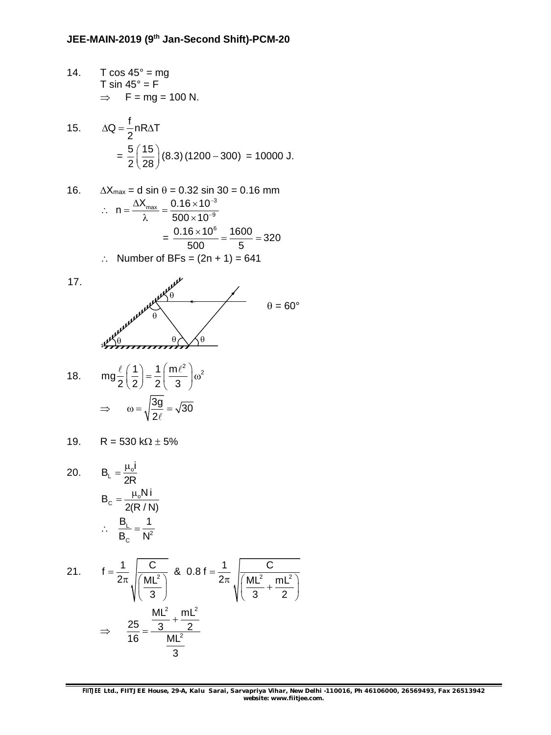14.  $T \cos 45^\circ = mg$ T sin 45° =  $F$  $\Rightarrow$  F = mg = 100 N.

15. 
$$
\Delta Q = \frac{f}{2} n R \Delta T
$$

$$
= \frac{5}{2} \left( \frac{15}{28} \right) (8.3) (1200 - 300) = 10000 \text{ J.}
$$

16. 
$$
\Delta X_{\text{max}} = d \sin \theta = 0.32 \sin 30 = 0.16 \text{ mm}
$$
  
\n∴ 
$$
n = \frac{\Delta X_{\text{max}}}{\lambda} = \frac{0.16 \times 10^{-3}}{500 \times 10^{-9}} = \frac{0.16 \times 10^{6}}{500} = \frac{1600}{5} = 320
$$
  
\n∴ Number of BFs = (2n + 1) = 641

17.



18. 
$$
\text{mg} \frac{\ell}{2} \left( \frac{1}{2} \right) = \frac{1}{2} \left( \frac{\text{m} \ell^2}{3} \right) \omega^2
$$

$$
\Rightarrow \omega = \sqrt{\frac{3g}{2\ell}} = \sqrt{30}
$$

19. 
$$
R = 530 \text{ k}\Omega \pm 5\%
$$

20.  $B_{L} = \frac{\mu_{0}}{2E}$  $B_{L} = \frac{\mu_{o}I}{2D}$ 2R  $=\frac{\mu}{2}$  $B_c = \frac{\mu_0 Ni}{2(D_{c}/N)}$ 2(R / N)  $=\frac{\mu}{2}$  $\therefore \quad \frac{\Delta_L}{B_C} = \frac{1}{N^2}$  $B<sub>1</sub>$  1  $\mathsf{B}_{_{\mathrm{C}}}$  N  $=$ 

21. 
$$
f = \frac{1}{2\pi} \sqrt{\frac{C}{\left(\frac{ML^2}{3}\right)}} \& 0.8 f = \frac{1}{2\pi} \sqrt{\frac{CL^2}{\left(\frac{ML^2}{3} + \frac{mL^2}{2}\right)}}
$$
  
\n $\Rightarrow \frac{25}{16} = \frac{\frac{ML^2}{3} + \frac{mL^2}{2}}{\frac{ML^2}{3}}$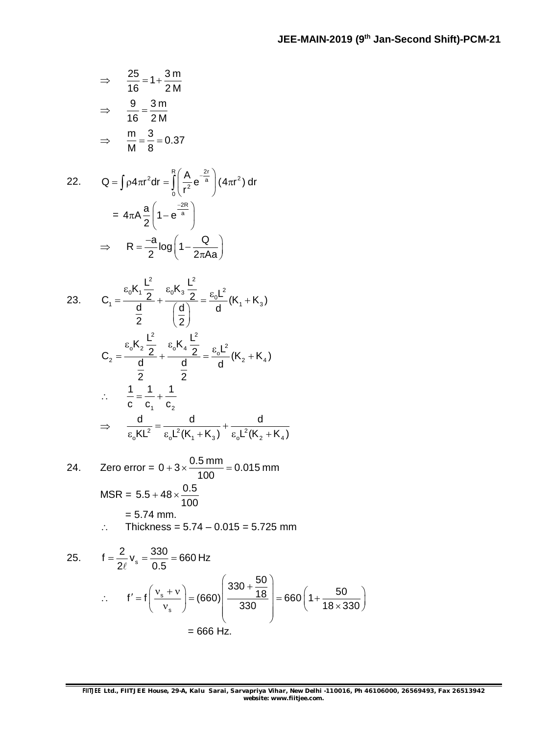$$
\Rightarrow \frac{25}{16} = 1 + \frac{3 \text{ m}}{2 \text{ M}}
$$

$$
\Rightarrow \frac{9}{16} = \frac{3 \text{ m}}{2 \text{ M}}
$$

$$
\Rightarrow \frac{\text{m}}{\text{M}} = \frac{3}{8} = 0.37
$$

22. 
$$
Q = \int \rho 4\pi r^2 dr = \int_0^R \left(\frac{A}{r^2} e^{-\frac{2r}{a}}\right) (4\pi r^2) dr
$$

$$
= 4\pi A \frac{a}{2} \left(1 - e^{-\frac{2R}{a}}\right)
$$

$$
\Rightarrow R = \frac{-a}{2} \log \left(1 - \frac{Q}{2\pi A a}\right)
$$

23. 
$$
C_{1} = \frac{\epsilon_{0}K_{1}\frac{L^{2}}{2}}{\frac{d}{2}} + \frac{\epsilon_{0}K_{3}\frac{L^{2}}{2}}{\frac{d}{2}} = \frac{\epsilon_{0}L^{2}}{d}(K_{1} + K_{3})
$$

$$
C_{2} = \frac{\epsilon_{0}K_{2}\frac{L^{2}}{2}}{\frac{d}{2}} + \frac{\epsilon_{0}K_{4}\frac{L^{2}}{2}}{\frac{d}{2}} = \frac{\epsilon_{0}L^{2}}{d}(K_{2} + K_{4})
$$

$$
\therefore \frac{1}{c} = \frac{1}{c_{1}} + \frac{1}{c_{2}}
$$

$$
\Rightarrow \frac{d}{\epsilon_{0}KL^{2}} = \frac{d}{\epsilon_{0}L^{2}(K_{1} + K_{3})} + \frac{d}{\epsilon_{0}L^{2}(K_{2} + K_{4})}
$$

24. Zero error = 
$$
0 + 3 \times \frac{0.5 \text{ mm}}{100} = 0.015 \text{ mm}
$$
  
\nMSR =  $5.5 + 48 \times \frac{0.5}{100}$   
\n= 5.74 mm.  
\n∴ Thickness = 5.74 – 0.015 = 5.725 mm

25. 
$$
f = \frac{2}{2\ell} v_s = \frac{330}{0.5} = 660 \text{ Hz}
$$
  
\n∴  $f' = f\left(\frac{v_s + v}{v_s}\right) = (660) \left(\frac{330 + \frac{50}{18}}{330}\right) = 660 \left(1 + \frac{50}{18 \times 330}\right)$   
\n= 666 Hz.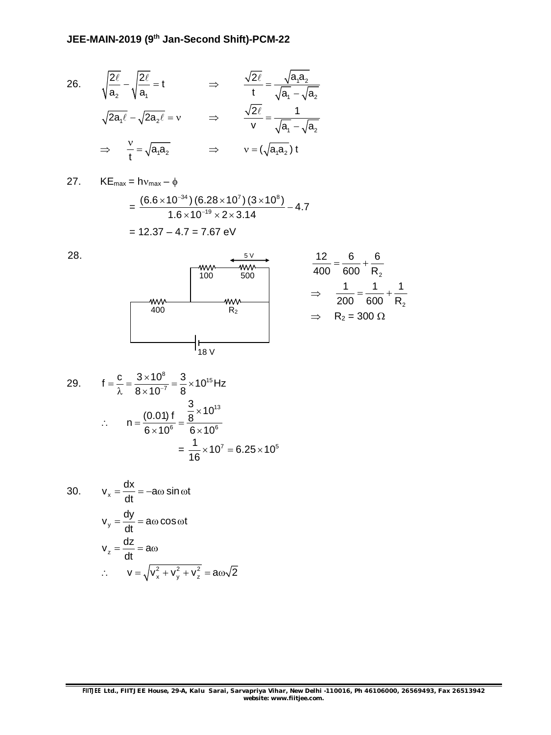26. 
$$
\sqrt{\frac{2\ell}{a_2}} - \sqrt{\frac{2\ell}{a_1}} = t
$$
  $\Rightarrow$   $\frac{\sqrt{2\ell}}{t} = \frac{\sqrt{a_1 a_2}}{\sqrt{a_1} - \sqrt{a_2}}$   
\n $\Rightarrow \sqrt{2a_1 \ell} - \sqrt{2a_2 \ell} = v$   $\Rightarrow$   $\frac{\sqrt{2\ell}}{v} = \frac{1}{\sqrt{a_1} - \sqrt{a_2}}$   
\n $\Rightarrow \frac{v}{t} = \sqrt{a_1 a_2}$   $\Rightarrow$   $v = (\sqrt{a_1 a_2}) t$ 

27. KE<sub>max</sub> =  $hv_{max} - \phi$ 

$$
= \frac{(6.6 \times 10^{-34}) (6.28 \times 10^{7}) (3 \times 10^{8})}{1.6 \times 10^{-19} \times 2 \times 3.14} - 4.7
$$
  
= 12.37 - 4.7 = 7.67 eV

$$
12.37 - 4.7 = 7.07
$$
 eV



2

29. 
$$
f = \frac{c}{\lambda} = \frac{3 \times 10^8}{8 \times 10^{-7}} = \frac{3}{8} \times 10^{15} Hz
$$
  
\n∴  $n = \frac{(0.01) f}{6 \times 10^6} = \frac{\frac{3}{8} \times 10^{13}}{6 \times 10^6}$   
\n $= \frac{1}{16} \times 10^7 = 6.25 \times 10^5$ 

30. 
$$
v_x = \frac{dx}{dt} = -a\omega \sin \omega t
$$
  
\n $v_y = \frac{dy}{dt} = a\omega \cos \omega t$   
\n $v_z = \frac{dz}{dt} = a\omega$   
\n $\therefore v = \sqrt{v_x^2 + v_y^2 + v_z^2} = a\omega\sqrt{2}$ 

28.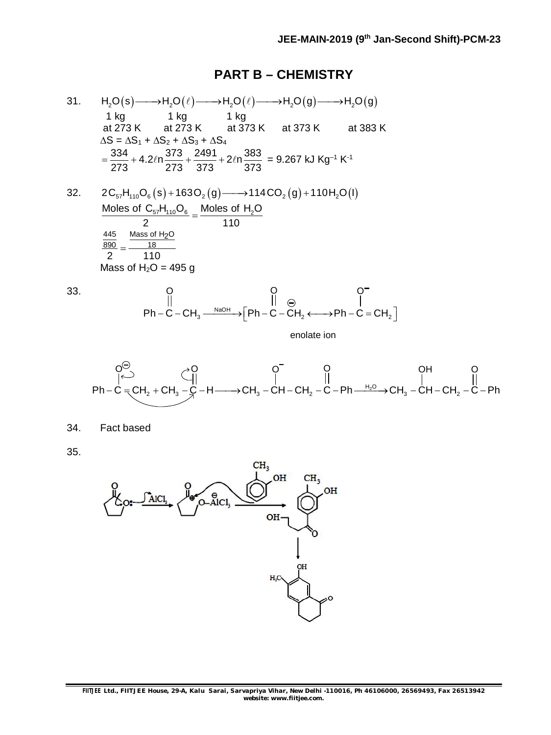#### **PART B – CHEMISTRY**

31.  $H_2O(s) \longrightarrow H_2O(\ell) \longrightarrow H_2O(\ell) \longrightarrow H_2O(g) \longrightarrow H_2O(g)$ 1 kg 1 kg 1 kg at 273 K at 273 K at 373 K at 373 K at 383 K at 273 K at 273 K  $\Delta S = \Delta S_1 + \Delta S_2 + \Delta S_3 + \Delta S_4$  $\frac{334}{272} + 4.2\ln \frac{373}{272} + \frac{2491}{272} + 2\ln \frac{383}{272}$ 273 273 373 373  $=\frac{304}{272}+4.2ln\frac{360}{272}+\frac{2431}{272}+2ln\frac{300}{272}=9.267$  kJ Kg<sup>-1</sup> K<sup>-1</sup>

32.  $2C_{57}H_{110}O_6(s) + 163O_2(g) \longrightarrow 114CO_2(g) + 110H_2O(l)$ Moles of  $\mathsf{C}_{57}\mathsf{H}_{\mathsf{110}}\mathsf{O}_{6}$  \_ Moles of  $\mathsf{H}_{\mathsf{2}}\mathsf{O}$ 2 110  $=$  $\frac{445}{2}$  Mass of H<sub>2</sub>O  $\frac{890}{2} = \frac{18}{11}$  $2^{\frac{1}{2}}$  110 Mass of  $H_2O = 495$  g

33.

$$
\begin{array}{ccc}\nO & O & O^{-} \\
\parallel & \parallel & \odot & \parallel \\
\text{Ph}-\text{C}-\text{CH}_3 \xrightarrow{\text{NaOH}} \begin{bmatrix} \text{Ph}-\text{C}-\text{CH}_2 \longleftarrow & \text{Ph}-\text{C}=\text{CH}_2 \end{bmatrix}\n\end{array}
$$

enolate ion

$$
\begin{array}{ccc}\nO^{\ominus} & O^{\ominus} & O^{\ominus} & O^{\ominus} \\
\uparrow^{\ominus} & \uparrow^{\ominus} & \uparrow^{\ominus} & \uparrow^{\ominus} \\
Ph-C = CH_{2} + CH_{3} - C - H \longrightarrow CH_{3} - CH - CH_{2} - C - Ph \xrightarrow{\text{H}_{2}O} \backslash CH_{3} - CH - CH_{2} - C - Ph \\
 & \downarrow^{\ominus} & \uparrow^{\ominus} & \uparrow^{\ominus} & \uparrow^{\ominus} \\
\downarrow^{\ominus} & \downarrow^{\ominus} & \downarrow^{\ominus} & \downarrow^{\ominus} & \downarrow^{\ominus} & \downarrow^{\ominus} \\
\downarrow^{\ominus} & \downarrow^{\ominus} & \downarrow^{\ominus} & \downarrow^{\ominus} & \downarrow^{\ominus} & \downarrow^{\ominus} & \downarrow^{\ominus} & \downarrow^{\ominus} & \downarrow^{\ominus} \\
\downarrow^{\ominus} & \downarrow^{\ominus} & \downarrow^{\ominus} & \downarrow^{\ominus} & \downarrow^{\ominus} & \downarrow^{\ominus} & \downarrow^{\ominus} & \downarrow^{\ominus} & \downarrow^{\ominus} & \downarrow^{\ominus} & \downarrow^{\ominus} & \downarrow^{\ominus} & \downarrow^{\ominus} & \downarrow^{\ominus} & \downarrow^{\ominus} & \downarrow^{\ominus} & \downarrow^{\ominus} & \downarrow^{\ominus} & \downarrow^{\ominus} & \downarrow^{\ominus} & \downarrow^{\ominus} & \downarrow^{\ominus} & \downarrow^{\ominus} & \downarrow^{\ominus} & \downarrow^{\ominus} & \downarrow^{\ominus} & \downarrow^{\ominus} & \downarrow^{\ominus} & \downarrow^{\ominus} & \downarrow^{\ominus} & \downarrow^{\ominus} & \downarrow^{\ominus} & \downarrow^{\ominus} & \downarrow^{\ominus} & \downarrow^{\ominus} & \downarrow^{\ominus} & \downarrow^{\ominus} & \downarrow^{\ominus} & \downarrow^{\ominus} & \downarrow^{\ominus} & \downarrow^{\ominus} & \downarrow^{\ominus} & \downarrow^{\ominus} & \downarrow^{\ominus} & \downarrow^{\ominus} & \downarrow^{\ominus} & \downarrow^{\ominus} & \downarrow^{\ominus} & \downarrow^{\ominus} & \downarrow^{\ominus} & \down
$$

34. Fact based

35.

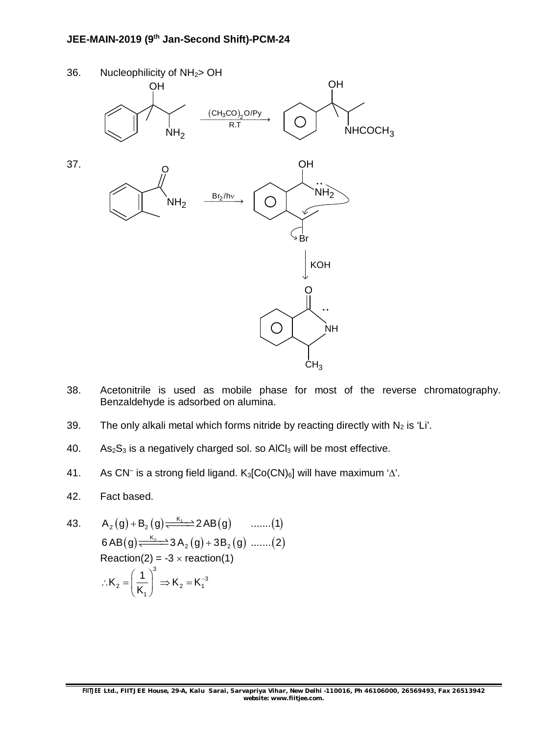## **JEE-MAIN-2019 (9th Jan-Second Shift)-PCM-24**



- 38. Acetonitrile is used as mobile phase for most of the reverse chromatography. Benzaldehyde is adsorbed on alumina.
- 39. The only alkali metal which forms nitride by reacting directly with  $N_2$  is 'Li'.
- 40. As<sub>2</sub>S<sub>3</sub> is a negatively charged sol. so AlCl<sub>3</sub> will be most effective.
- 41. As CN<sup>-</sup> is a strong field ligand.  $K_3$ [Co(CN)<sub>6</sub>] will have maximum ' $\Delta$ '.
- 42. Fact based.
- 43. <sup>K</sup><sup>1</sup> A g B g 2 AB g ....... 1 2 2  $6AB(g) \xrightarrow{K_2 \rightarrow 3} 3A_2(g) + 3B_2(g) \dots (2)$  $Reaction(2) = -3 \times reaction(1)$ 3  $\mathsf{R}_2 = \left| \frac{1}{\mathsf{K}} \right| \Rightarrow \mathsf{K}_2 = \mathsf{K}_1^{-3}$ 1  $K_2 = \left(\frac{1}{16}\right)^2 \Rightarrow K_2 = K$ K  $\therefore$ K<sub>2</sub> =  $\left(\frac{1}{K_1}\right)^6 \Rightarrow K_2 = K_1$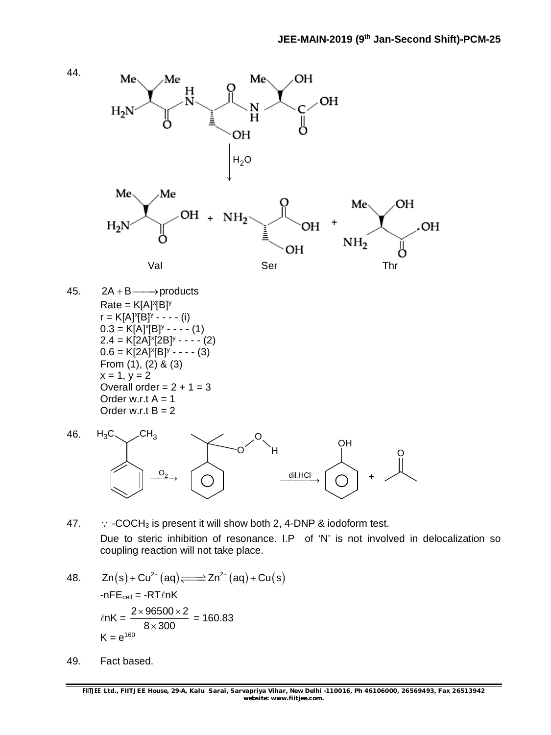

- 47.  $\therefore$  -COCH<sub>3</sub> is present it will show both 2, 4-DNP & iodoform test. Due to steric inhibition of resonance. I.P of 'N' is not involved in delocalization so coupling reaction will not take place.
- 48.  $Zn(s) + Cu^{2+}(aq) \rightleftharpoons Zn^{2+}(aq) + Cu(s)$  $-nFE<sub>cell</sub> = -RTlnK$  $ln K = \frac{2 \times 96500 \times 2}{2 \times 200} = 160.83$  $8 \times 300$  $K = e^{160}$
- 49. Fact based.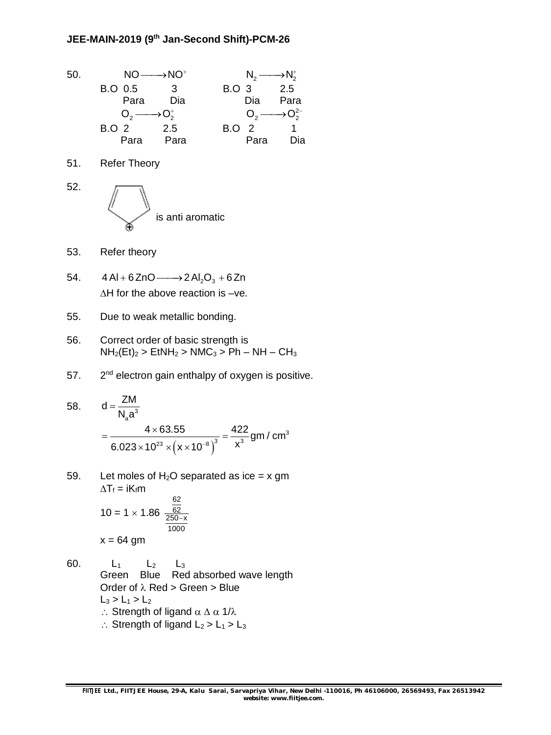$50.$  NO  $\longrightarrow$  NO<sup>+</sup>  $N_2 \longrightarrow N_2^+$ B.O 0.5 3 B.O 3 2.5 Para Dia Dia Para  $O_2 \longrightarrow O_2^+$  $O_2 \longrightarrow O_2^{2-}$ B.O 2 2.5 B.O 2 1 Para Para Para Dia 51. Refer Theory 52. is anti aromatic 53. Refer theory 54.  $4 Al + 6 ZnO \longrightarrow 2 Al_2O_3 + 6 Zn$  $\Delta H$  for the above reaction is -ve. 55. Due to weak metallic bonding. 56. Correct order of basic strength is  $NH<sub>2</sub>(Et)<sub>2</sub>$  > EtNH<sub>2</sub> > NMC<sub>3</sub> > Ph – NH – CH<sub>3</sub> 57.  $2<sup>nd</sup>$  electron gain enthalpy of oxygen is positive. 58.  $d = \frac{2m}{N_a a^3}$  $d = \frac{ZM}{1.1}$  $\mathsf{N}_{\mathsf{a}} \mathsf{a}^3$  $=$  $(x \times 10^{-6})$ 3  $\frac{4 \times 63.55}{10^{23} \times (x \times 10^{-8})^3} = \frac{422}{x^3}$  gm / cm  $6.023 \times 10^{23} \times (x \times 10^{-8})^3$  X  $=\frac{4\times63.55}{10^{12}}$  $\times$ 10 $^{23}$   $\times$  ( **x**  $\times$  1 59. Let moles of  $H_2O$  separated as ice = x gm  $\Delta T_f = iK_f m$  $10 = 1 \times 1.86$ 62 62 250-x 1000  $x = 64$  gm 60. L<sub>1</sub> L<sub>2</sub> L<sub>3</sub> Green Blue Red absorbed wave length Order of  $\lambda$  Red > Green > Blue  $L_3 > L_1 > L_2$ :. Strength of ligand  $\alpha \Delta \alpha$  1/ $\lambda$ 

 $\therefore$  Strength of ligand  $L_2 > L_1 > L_3$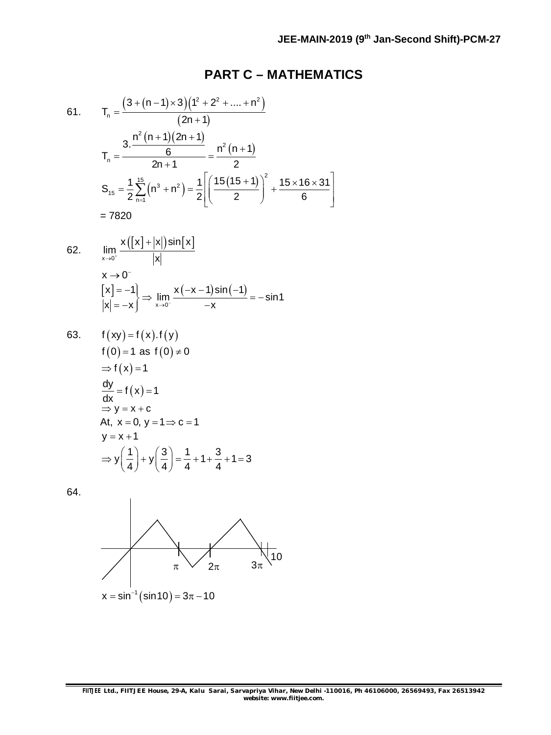### **PART C – MATHEMATICS**

61. 
$$
T_{n} = \frac{\left(3 + (n-1) \times 3\right)\left(1^{2} + 2^{2} + \dots + n^{2}\right)}{(2n+1)}
$$

$$
T_{n} = \frac{3 \cdot \frac{n^{2}(n+1)(2n+1)}{6}}{2n+1} = \frac{n^{2}(n+1)}{2}
$$

$$
S_{15} = \frac{1}{2} \sum_{n=1}^{15} (n^{3} + n^{2}) = \frac{1}{2} \left[\left(\frac{15(15+1)}{2}\right)^{2} + \frac{15 \times 16 \times 31}{6}\right]
$$

$$
= 7820
$$

62. 
$$
\lim_{x \to 0^{+}} \frac{x([x] + |x|) \sin[x]}{|x|}
$$

$$
x \to 0^{-}
$$

$$
\left[\begin{array}{l} x \end{array}\right] = -1 \bigg| \Rightarrow \lim_{x \to 0^{-}} \frac{x(-x - 1) \sin(-1)}{-x} = -\sin 1
$$

63. 
$$
f(xy) = f(x).f(y)
$$
  
\n $f(0) = 1$  as  $f(0) \ne 0$   
\n $\Rightarrow f(x) = 1$   
\n $\frac{dy}{dx} = f(x) = 1$   
\n $\Rightarrow y = x + c$   
\nAt,  $x = 0$ ,  $y = 1 \Rightarrow c = 1$   
\n $y = x + 1$   
\n $\Rightarrow y(\frac{1}{4}) + y(\frac{3}{4}) = \frac{1}{4} + 1 + \frac{3}{4} + 1 = 3$ 

64.

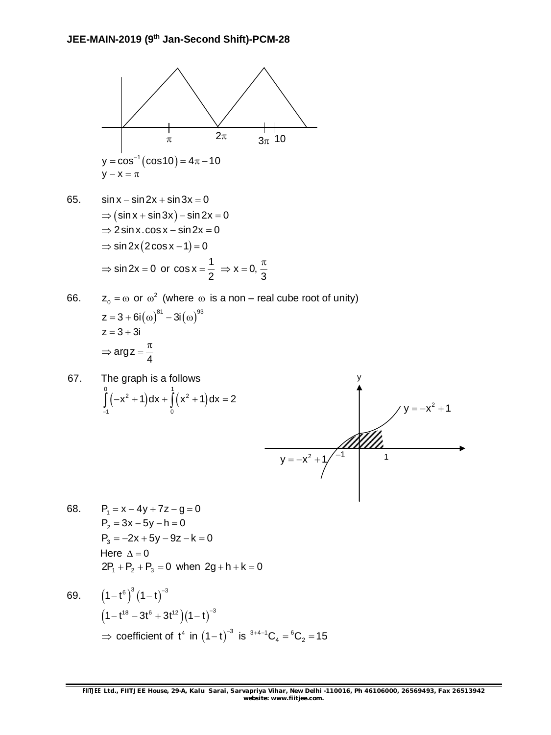

$$
y-x=\pi\,
$$

- 65.  $\sin x \sin 2x + \sin 3x = 0$  $\Rightarrow$  (sin x + sin 3x) – sin 2x = 0  $\Rightarrow$  2 sin x.cos x - sin 2x = 0  $\Rightarrow$  sin 2x (2cos x - 1) = 0  $\Rightarrow$  sin 2x = 0 or cos x =  $\frac{1}{2}$ 2  $=\frac{1}{2} \Rightarrow x = 0,$  $\Rightarrow$  x = 0,  $\frac{\pi}{2}$
- 66.  $z_0 = \omega$  or  $\omega^2$  (where  $\omega$  is a non – real cube root of unity)  $z = 3 + 6i(\omega)^{81} - 3i(\omega)^{93}$  $z = 3 + 3i$ argz 4  $\Rightarrow$  arg z =  $\frac{\pi}{4}$

3

67. The graph is a follows  
\n
$$
\int_{-1}^{0} (-x^2 + 1) dx + \int_{0}^{1} (x^2 + 1) dx = 2
$$



68.  $P_1 = x - 4y + 7z - g = 0$  $P_2 = 3x - 5y - h = 0$  $P_3 = -2x + 5y - 9z - k = 0$ Here  $\Lambda = 0$  $2P_1 + P_2 + P_3 = 0$  when  $2g + h + k = 0$ 

69. 
$$
(1-t^6)^3 (1-t)^{-3}
$$
  
\n $(1-t^{18} - 3t^6 + 3t^{12})(1-t)^{-3}$   
\n⇒ coefficient of t<sup>4</sup> in (1-t)<sup>-3</sup> is <sup>3+4-1</sup>C<sub>4</sub> = <sup>6</sup>C<sub>2</sub> = 15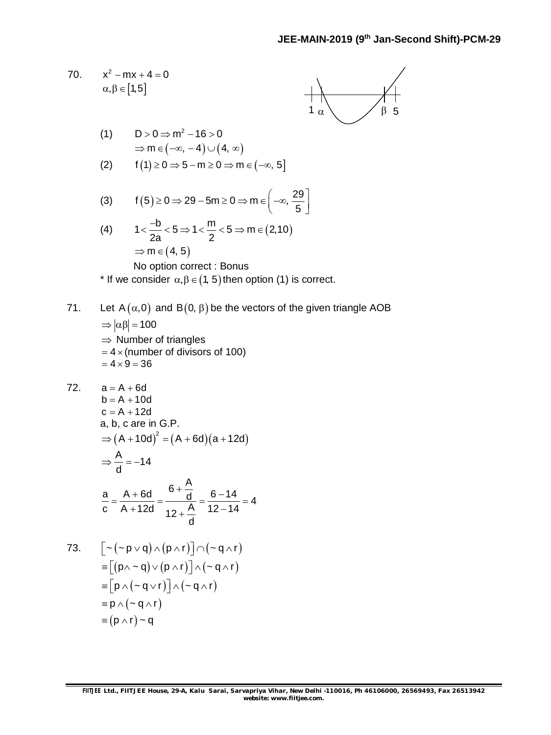70. 
$$
x^2 - mx + 4 = 0
$$

$$
\alpha, \beta \in [1, 5]
$$



(1) 
$$
D > 0 \Rightarrow m^2 - 16 > 0
$$

$$
\Rightarrow m \in (-\infty, -4) \cup (4, \infty)
$$

$$
(2) \qquad f(1) \ge 0 \Rightarrow 5 - m \ge 0 \Rightarrow m \in (-\infty, 5]
$$

(3) 
$$
f(5) \ge 0 \Rightarrow 29 - 5m \ge 0 \Rightarrow m \in \left(-\infty, \frac{29}{5}\right]
$$

(4) 
$$
1 < \frac{-b}{2a} < 5 \Rightarrow 1 < \frac{m}{2} < 5 \Rightarrow m \in (2, 10)
$$

$$
\Rightarrow m \in (4, 5)
$$

No option correct : Bonus

\* If we consider  $\alpha, \beta \in (1, 5)$  then option (1) is correct.

## 71. Let  $A(\alpha,0)$  and  $B(0, \beta)$  be the vectors of the given triangle AOB

$$
\Rightarrow |\alpha\beta| = 100
$$
  
\n
$$
\Rightarrow
$$
 Number of triangles  
\n= 4 × (number of divisors of 100)  
\n= 4 × 9 = 36

72.   
\n
$$
a = A + 6d
$$
  
\n $b = A + 10d$   
\n $c = A + 12d$   
\n $a, b, c$  are in G.P.  
\n $\Rightarrow (A + 10d)^2 = (A + 6d)(a + 12d)$   
\n $\Rightarrow \frac{A}{d} = -14$   
\n $\frac{a}{c} = \frac{A + 6d}{A + 12d} = \frac{6 + \frac{A}{d}}{12 + \frac{A}{d}} = \frac{6 - 14}{12 - 14} = 4$ 

73. 
$$
\begin{aligned}\n&\left[-(p \lor q) \land (p \land r)\right] \cap (-q \land r) \\
&= \left[\left(p \land q\right) \lor (p \land r)\right] \land (-q \land r) \\
&= \left[p \land (-q \lor r)\right] \land (-q \land r) \\
&= p \land (-q \land r) \\
&= (p \land r) \land q\n\end{aligned}
$$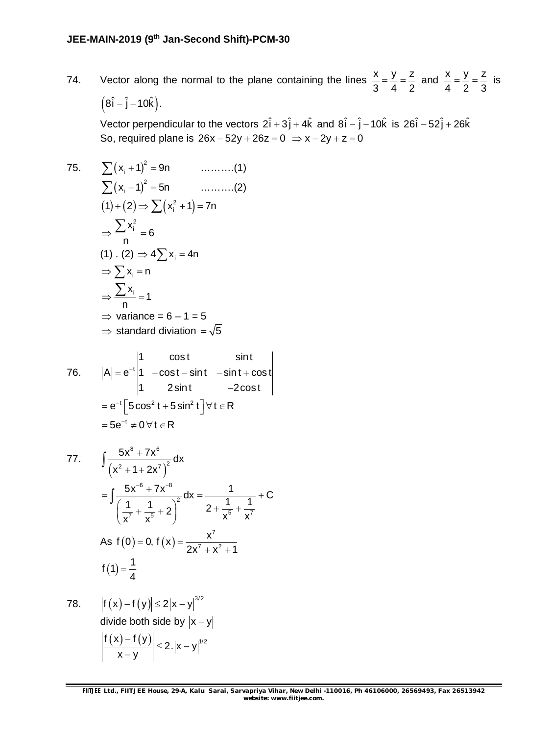74. Vector along the normal to the plane containing the lines  $\frac{x}{6} = \frac{y}{16} = \frac{z}{6}$ 3 4 2  $=\frac{y}{4}=\frac{z}{2}$  and  $\frac{x}{4}=\frac{y}{2}=\frac{z}{3}$ 4 2 3  $=\frac{y}{2}=\frac{z}{3}$  is  $(8\hat{i} - \hat{j} - 10\hat{k}).$ 

Vector perpendicular to the vectors  $2\hat{i} + 3\hat{j} + 4\hat{k}$  and  $8\hat{i} - \hat{j} - 10\hat{k}$  is  $26\hat{i} - 52\hat{j} + 26\hat{k}$ So, required plane is  $26x - 52y + 26z = 0 \Rightarrow x - 2y + z = 0$ 

75. 
$$
\sum (x_i + 1)^2 = 9n \qquad \qquad \dots \dots \dots (1)
$$

$$
\sum (x_i - 1)^2 = 5n \qquad \qquad \dots \dots \dots (2)
$$

$$
(1) + (2) \Rightarrow \sum (x_i^2 + 1) = 7n
$$

$$
\Rightarrow \frac{\sum x_i^2}{n} = 6
$$

$$
(1) \cdot (2) \Rightarrow 4\sum x_i = 4n
$$

$$
\Rightarrow \sum x_i = n
$$

$$
\Rightarrow \frac{\sum x_i}{n} = 1
$$

$$
\Rightarrow \text{ variance} = 6 - 1 = 5
$$

$$
\Rightarrow \text{ standard division} = \sqrt{5}
$$

76. 
$$
|A| = e^{-t} \begin{vmatrix} 1 & \cos t & \sin t \\ 1 & -\cos t - \sin t & -\sin t + \cos t \\ 1 & 2\sin t & -2\cos t \end{vmatrix}
$$
  
=  $e^{-t} \begin{bmatrix} 5\cos^2 t + 5\sin^2 t \end{bmatrix} \forall t \in R$   
=  $5e^{-t} \neq 0 \forall t \in R$ 

77. 
$$
\int \frac{5x^8 + 7x^6}{(x^2 + 1 + 2x^7)^2} dx
$$
  
\n
$$
= \int \frac{5x^{-6} + 7x^{-8}}{(\frac{1}{x^7} + \frac{1}{x^5} + 2)^2} dx = \frac{1}{2 + \frac{1}{x^5} + \frac{1}{x^7}} + C
$$
  
\nAs  $f(0) = 0$ ,  $f(x) = \frac{x^7}{2x^7 + x^2 + 1}$   
\n $f(1) = \frac{1}{4}$ 

78. 
$$
\left| f(x) - f(y) \right| \le 2|x - y|^{3/2}
$$
  
divide both side by  $|x - y|$ 
$$
\left| \frac{f(x) - f(y)}{x - y} \right| \le 2 \cdot |x - y|^{1/2}
$$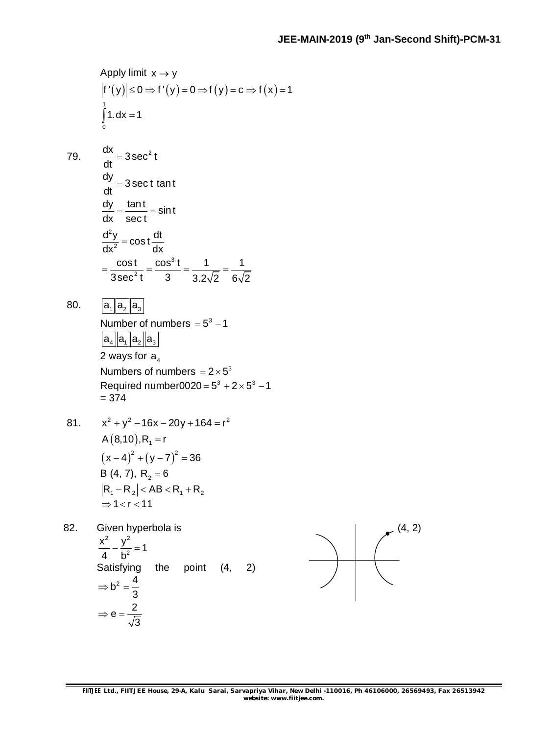Apply limit 
$$
x \rightarrow y
$$
  
\n $|f'(y)| \le 0 \Rightarrow f'(y) = 0 \Rightarrow f(y) = c \Rightarrow f(x) = 1$   
\n $\int_{0}^{1} 1 \cdot dx = 1$ 

79.  $\frac{dx}{x}$ 

$$
\frac{dV}{dt} = 3 \sec^2 t
$$
  
\n
$$
\frac{dy}{dt} = 3 \sec t \tan t
$$
  
\n
$$
\frac{dy}{dx} = \frac{\tan t}{\sec t} = \sin t
$$
  
\n
$$
\frac{d^2y}{dx^2} = \cos t \frac{dt}{dx}
$$
  
\n
$$
= \frac{\cos t}{3 \sec^2 t} = \frac{\cos^3 t}{3} = \frac{1}{3.2\sqrt{2}} = \frac{1}{6\sqrt{2}}
$$

80.  $|a_1| |a_2| |a_3|$ 

Number of numbers = 
$$
5^3 - 1
$$
  
\n
$$
a_4 | a_1 | a_2 | a_3
$$
\n2 ways for  $a_4$   
\nNumbers of numbers =  $2 \times 5^3$   
\nRequired number0020 =  $5^3 + 2 \times 5^3 - 1$   
\n= 374

81. 
$$
x^{2} + y^{2} - 16x - 20y + 164 = r^{2}
$$

$$
A(8,10), R_{1} = r
$$

$$
(x - 4)^{2} + (y - 7)^{2} = 36
$$

$$
B(4, 7), R_{2} = 6
$$

$$
|R_{1} - R_{2}| < AB < R_{1} + R_{2}
$$

$$
\Rightarrow 1 < r < 11
$$

82. Given hyperbola is 2  $\sqrt{2}$  $\frac{x^2}{4} - \frac{y^2}{b^2} = 1$ 4 b  $-\frac{y}{12}$  = ' Satisfying the point (4, 2)  $b^2 = \frac{4}{3}$ 3  $\Rightarrow$  b<sup>2</sup> =  $e = \frac{2}{\sqrt{2}}$ 3  $\Rightarrow$  e = -

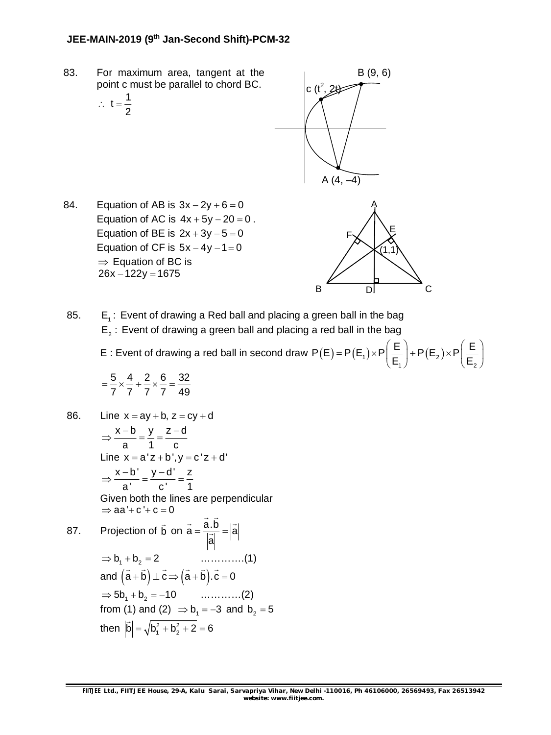#### **JEE-MAIN-2019 (9th Jan-Second Shift)-PCM-32**

83. For maximum area, tangent at the point c must be parallel to chord BC.

$$
\therefore t = \frac{1}{2}
$$



84. Equation of AB is  $3x - 2y + 6 = 0$ Equation of AC is  $4x + 5y - 20 = 0$ . Equation of BE is  $2x + 3y - 5 = 0$ Equation of CF is  $5x - 4y - 1 = 0$  $\Rightarrow$  Equation of BC is  $26x - 122y = 1675$ 



1 /  $\qquad \qquad$   $\qquad \qquad$   $\qquad$   $\qquad$   $\qquad$   $\qquad$   $\qquad$   $\qquad$   $\qquad$   $\qquad$   $\qquad$   $\qquad$   $\qquad$   $\qquad$   $\qquad$   $\qquad$   $\qquad$   $\qquad$   $\qquad$   $\qquad$   $\qquad$   $\qquad$   $\qquad$   $\qquad$   $\qquad$   $\qquad$   $\qquad$   $\qquad$   $\qquad$   $\qquad$   $\qquad$   $\qquad$   $\qquad$   $\qquad$   $\qquad$   $\q$ 

 $E_1$   $($   $-2)$   $($   $E_1$ 

85.  $E_1$ : Event of drawing a Red ball and placing a green ball in the bag  $E_2$ : Event of drawing a green ball and placing a red ball in the bag

E : Event of drawing a red ball in second draw  $P(E)$  =  $P(E_1) \times P$   $\frac{1}{n}$  +  $P(E_2)$  $P(E) = P(E_1) \times P\left(\frac{E}{E}\right) + P(E_2) \times P\left(\frac{E}{E}\right)$  $= P(E_1) \times P\left(\frac{E}{E_1}\right) + P(E_2) \times P\left(\frac{E}{E_2}\right)$ 

$$
=\frac{5}{7}\times\frac{4}{7}+\frac{2}{7}\times\frac{6}{7}=\frac{32}{49}
$$

86. Line  $x = ay + b$ ,  $z = cy + d$ x b y z d a 1 c  $\Rightarrow \frac{x-b}{1} = \frac{y}{1} = \frac{z-a}{1}$ Line  $x = a'z + b'$ ,  $y = c'z + d'$ x b' y d' z a' c ' 1  $\Rightarrow \frac{x-b'}{a} = \frac{y-d'}{b} = \frac{z}{c}$ Given both the lines are perpendicular  $\Rightarrow$  aa' + c ' + c = 0 87. Projection of b  $\overline{\phantom{a}}$ on  $\vec{a} = \frac{\vec{a} \cdot \vec{b}}{a} = |\vec{a}|$ a  $=\frac{0.0}{1.7}$  = |  $\overrightarrow{a}$   $\overrightarrow{b}$   $\overrightarrow{b}$  $\frac{1}{x}$  $\Rightarrow$  b<sub>1</sub> + b<sub>2</sub> = 2 …………...(1) and  $(a + b) \perp c \Rightarrow (a + b).c = 0$  $\rightarrow$   $\rightarrow$   $\rightarrow$   $\rightarrow$   $\rightarrow$   $\rightarrow$  $\Rightarrow$  5b<sub>1</sub> + b<sub>2</sub> = -10 …………(2) from (1) and (2)  $\Rightarrow$   $b_1 = -3$  and  $b_2 = 5$ then  $|\dot{b}| = \sqrt{b_1^2 + b_2^2 + 2} = 6$  $\overline{\phantom{a}}$